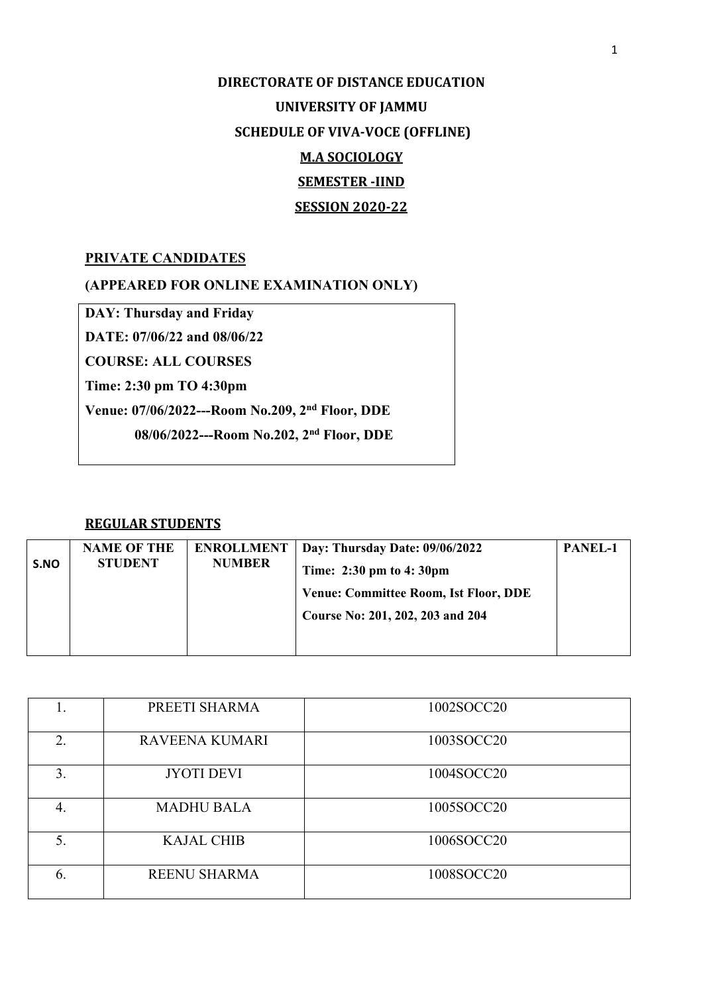## **DIRECTORATE OF DISTANCE EDUCATION UNIVERSITY OF JAMMU SCHEDULE OF VIVA-VOCE (OFFLINE) M.A SOCIOLOGY SEMESTER -IIND SESSION 2020-22**

## **PRIVATE CANDIDATES**

**(APPEARED FOR ONLINE EXAMINATION ONLY)**

**DAY: Thursday and Friday**

**DATE: 07/06/22 and 08/06/22** 

**COURSE: ALL COURSES**

**Time: 2:30 pm TO 4:30pm**

**Venue: 07/06/2022---Room No.209, 2nd Floor, DDE** 

 **08/06/2022---Room No.202, 2nd Floor, DDE** 

## **REGULAR STUDENTS**

| PANEL-1<br>Day: Thursday Date: 09/06/2022<br><b>ENROLLMENT</b> |
|----------------------------------------------------------------|
| Time: 2:30 pm to 4:30pm                                        |
| <b>Venue: Committee Room, Ist Floor, DDE</b>                   |
| Course No: 201, 202, 203 and 204                               |
|                                                                |
| <b>NUMBER</b>                                                  |

| l. | PREETI SHARMA         | 1002SOCC20 |
|----|-----------------------|------------|
| 2. | <b>RAVEENA KUMARI</b> | 1003SOCC20 |
| 3. | <b>JYOTI DEVI</b>     | 1004SOCC20 |
| 4. | <b>MADHU BALA</b>     | 1005SOCC20 |
| 5. | <b>KAJAL CHIB</b>     | 1006SOCC20 |
| 6. | <b>REENU SHARMA</b>   | 1008SOCC20 |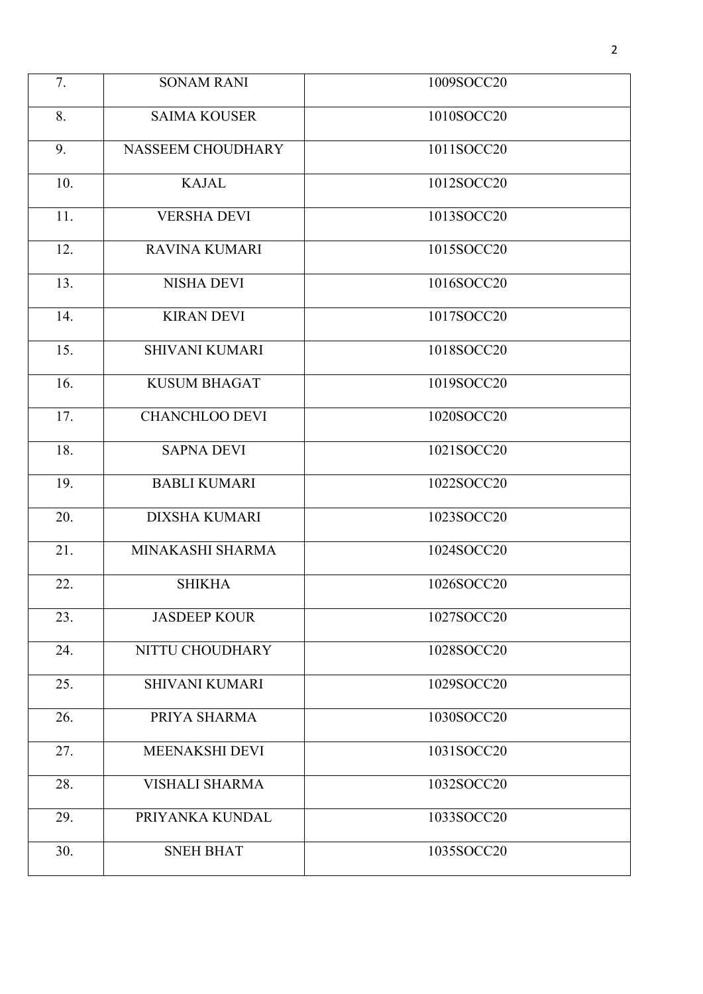| 7.  | <b>SONAM RANI</b>     | 1009SOCC20 |
|-----|-----------------------|------------|
| 8.  | <b>SAIMA KOUSER</b>   | 1010SOCC20 |
| 9.  | NASSEEM CHOUDHARY     | 1011SOCC20 |
| 10. | <b>KAJAL</b>          | 1012SOCC20 |
| 11. | <b>VERSHA DEVI</b>    | 1013SOCC20 |
| 12. | <b>RAVINA KUMARI</b>  | 1015SOCC20 |
| 13. | <b>NISHA DEVI</b>     | 1016SOCC20 |
| 14. | <b>KIRAN DEVI</b>     | 1017SOCC20 |
| 15. | <b>SHIVANI KUMARI</b> | 1018SOCC20 |
| 16. | <b>KUSUM BHAGAT</b>   | 1019SOCC20 |
| 17. | <b>CHANCHLOO DEVI</b> | 1020SOCC20 |
| 18. | <b>SAPNA DEVI</b>     | 1021SOCC20 |
| 19. | <b>BABLI KUMARI</b>   | 1022SOCC20 |
| 20. | <b>DIXSHA KUMARI</b>  | 1023SOCC20 |
| 21. | MINAKASHI SHARMA      | 1024SOCC20 |
| 22. | <b>SHIKHA</b>         | 1026SOCC20 |
| 23. | <b>JASDEEP KOUR</b>   | 1027SOCC20 |
| 24. | NITTU CHOUDHARY       | 1028SOCC20 |
| 25. | <b>SHIVANI KUMARI</b> | 1029SOCC20 |
| 26. | PRIYA SHARMA          | 1030SOCC20 |
| 27. | MEENAKSHI DEVI        | 1031SOCC20 |
| 28. | <b>VISHALI SHARMA</b> | 1032SOCC20 |
| 29. | PRIYANKA KUNDAL       | 1033SOCC20 |
| 30. | <b>SNEH BHAT</b>      | 1035SOCC20 |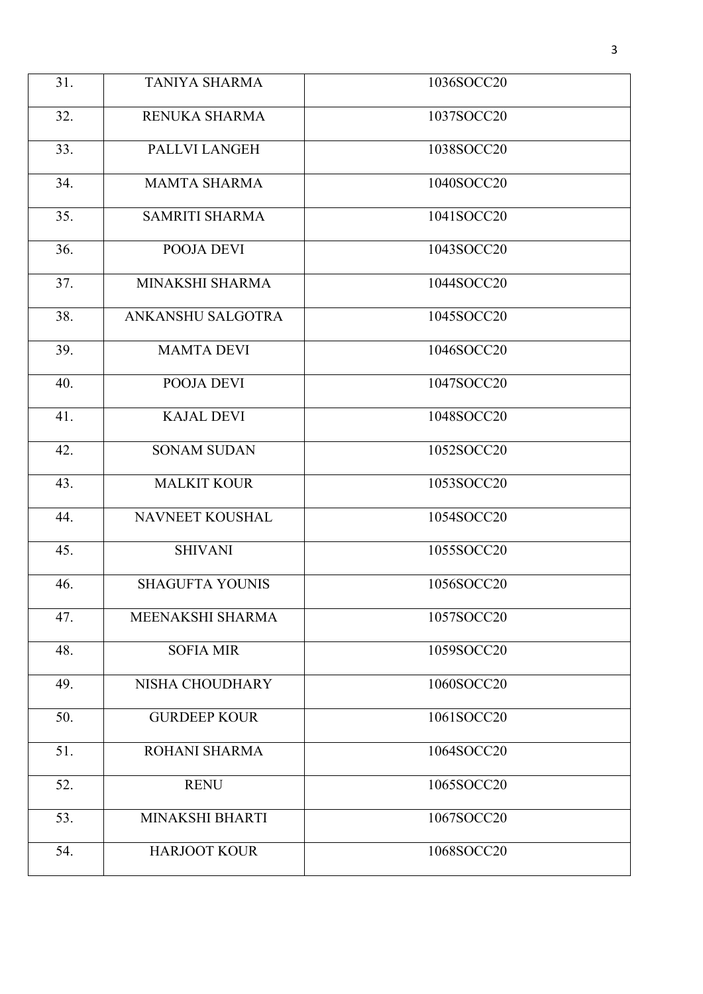| 31. | <b>TANIYA SHARMA</b>   | 1036SOCC20 |
|-----|------------------------|------------|
| 32. | RENUKA SHARMA          | 1037SOCC20 |
| 33. | PALLVI LANGEH          | 1038SOCC20 |
| 34. | <b>MAMTA SHARMA</b>    | 1040SOCC20 |
| 35. | <b>SAMRITI SHARMA</b>  | 1041SOCC20 |
| 36. | POOJA DEVI             | 1043SOCC20 |
| 37. | MINAKSHI SHARMA        | 1044SOCC20 |
| 38. | ANKANSHU SALGOTRA      | 1045SOCC20 |
| 39. | <b>MAMTA DEVI</b>      | 1046SOCC20 |
| 40. | POOJA DEVI             | 1047SOCC20 |
| 41. | <b>KAJAL DEVI</b>      | 1048SOCC20 |
| 42. | <b>SONAM SUDAN</b>     | 1052SOCC20 |
| 43. | <b>MALKIT KOUR</b>     | 1053SOCC20 |
| 44. | NAVNEET KOUSHAL        | 1054SOCC20 |
| 45. | <b>SHIVANI</b>         | 1055SOCC20 |
| 46. | <b>SHAGUFTA YOUNIS</b> | 1056SOCC20 |
| 47. | MEENAKSHI SHARMA       | 1057SOCC20 |
| 48. | <b>SOFIA MIR</b>       | 1059SOCC20 |
| 49. | NISHA CHOUDHARY        | 1060SOCC20 |
| 50. | <b>GURDEEP KOUR</b>    | 1061SOCC20 |
| 51. | ROHANI SHARMA          | 1064SOCC20 |
| 52. | <b>RENU</b>            | 1065SOCC20 |
| 53. | MINAKSHI BHARTI        | 1067SOCC20 |
| 54. | <b>HARJOOT KOUR</b>    | 1068SOCC20 |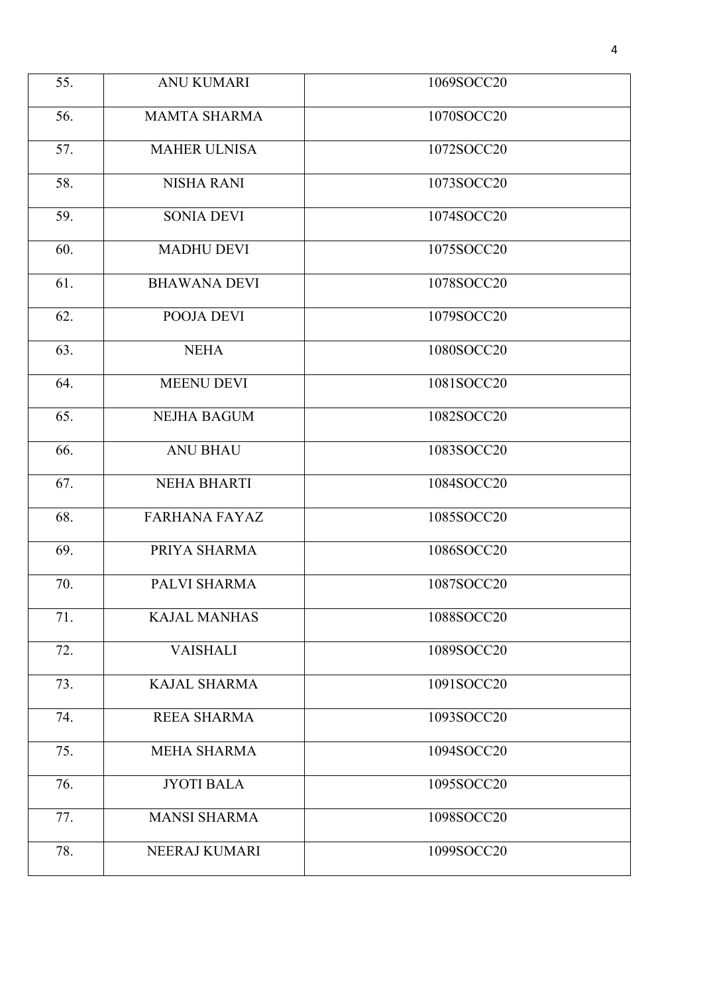| 55. | <b>ANU KUMARI</b>    | 1069SOCC20 |
|-----|----------------------|------------|
| 56. | <b>MAMTA SHARMA</b>  | 1070SOCC20 |
| 57. | <b>MAHER ULNISA</b>  | 1072SOCC20 |
| 58. | <b>NISHA RANI</b>    | 1073SOCC20 |
| 59. | <b>SONIA DEVI</b>    | 1074SOCC20 |
| 60. | <b>MADHU DEVI</b>    | 1075SOCC20 |
| 61. | <b>BHAWANA DEVI</b>  | 1078SOCC20 |
| 62. | POOJA DEVI           | 1079SOCC20 |
| 63. | <b>NEHA</b>          | 1080SOCC20 |
| 64. | <b>MEENU DEVI</b>    | 1081SOCC20 |
| 65. | <b>NEJHA BAGUM</b>   | 1082SOCC20 |
| 66. | <b>ANU BHAU</b>      | 1083SOCC20 |
| 67. | <b>NEHA BHARTI</b>   | 1084SOCC20 |
| 68. | <b>FARHANA FAYAZ</b> | 1085SOCC20 |
| 69. | PRIYA SHARMA         | 1086SOCC20 |
| 70. | PALVI SHARMA         | 1087SOCC20 |
| 71. | <b>KAJAL MANHAS</b>  | 1088SOCC20 |
| 72. | <b>VAISHALI</b>      | 1089SOCC20 |
| 73. | <b>KAJAL SHARMA</b>  | 1091SOCC20 |
| 74. | <b>REEA SHARMA</b>   | 1093SOCC20 |
| 75. | <b>MEHA SHARMA</b>   | 1094SOCC20 |
| 76. | <b>JYOTI BALA</b>    | 1095SOCC20 |
| 77. | <b>MANSI SHARMA</b>  | 1098SOCC20 |
| 78. | NEERAJ KUMARI        | 1099SOCC20 |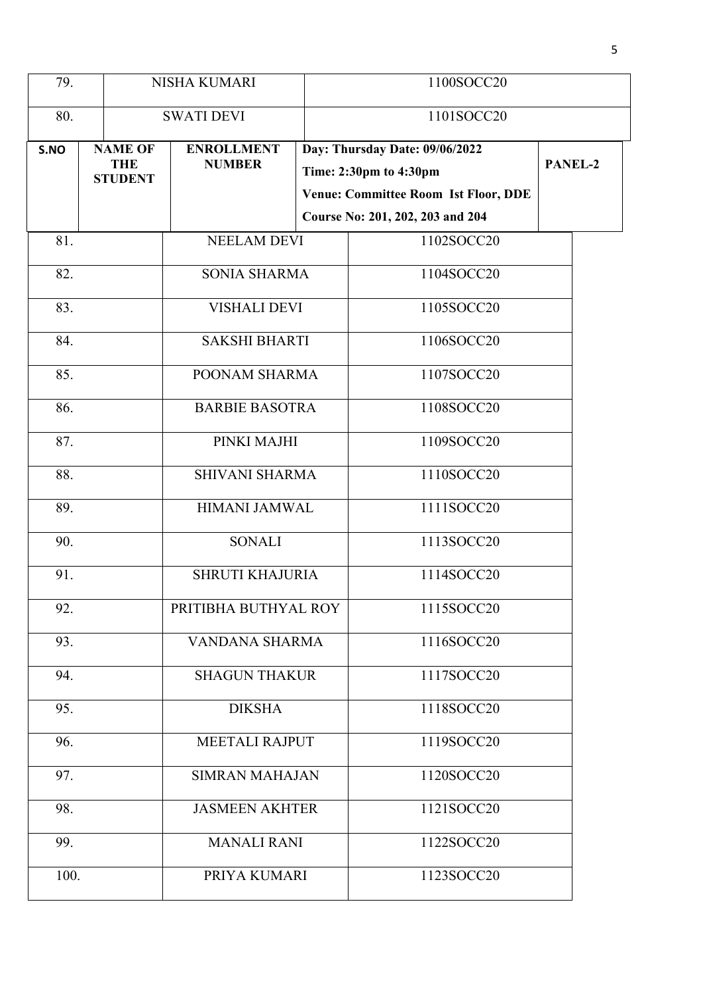| 79.  |                                                | NISHA KUMARI                       |  | 1100SOCC20                                                                                                                                  |         |
|------|------------------------------------------------|------------------------------------|--|---------------------------------------------------------------------------------------------------------------------------------------------|---------|
| 80.  |                                                | <b>SWATI DEVI</b>                  |  | 1101SOCC20                                                                                                                                  |         |
| S.NO | <b>NAME OF</b><br><b>THE</b><br><b>STUDENT</b> | <b>ENROLLMENT</b><br><b>NUMBER</b> |  | Day: Thursday Date: 09/06/2022<br>Time: 2:30pm to 4:30pm<br><b>Venue: Committee Room Ist Floor, DDE</b><br>Course No: 201, 202, 203 and 204 | PANEL-2 |
| 81.  |                                                | <b>NEELAM DEVI</b>                 |  | 1102SOCC20                                                                                                                                  |         |
| 82.  |                                                | <b>SONIA SHARMA</b>                |  | 1104SOCC20                                                                                                                                  |         |
| 83.  |                                                | <b>VISHALI DEVI</b>                |  | 1105SOCC20                                                                                                                                  |         |
| 84.  |                                                | <b>SAKSHI BHARTI</b>               |  | 1106SOCC20                                                                                                                                  |         |
| 85.  |                                                | POONAM SHARMA                      |  | 1107SOCC20                                                                                                                                  |         |
| 86.  |                                                | <b>BARBIE BASOTRA</b>              |  | 1108SOCC20                                                                                                                                  |         |
| 87.  |                                                | PINKI MAJHI                        |  | 1109SOCC20                                                                                                                                  |         |
| 88.  |                                                | <b>SHIVANI SHARMA</b>              |  | 1110SOCC20                                                                                                                                  |         |
| 89.  |                                                | <b>HIMANI JAMWAL</b>               |  | 1111SOCC20                                                                                                                                  |         |
| 90.  |                                                | <b>SONALI</b>                      |  | 1113SOCC20                                                                                                                                  |         |
| 91.  |                                                | <b>SHRUTI KHAJURIA</b>             |  | 1114SOCC20                                                                                                                                  |         |
| 92.  |                                                | PRITIBHA BUTHYAL ROY               |  | 1115SOCC20                                                                                                                                  |         |
| 93.  |                                                | VANDANA SHARMA                     |  | 1116SOCC20                                                                                                                                  |         |
| 94.  |                                                | <b>SHAGUN THAKUR</b>               |  | 1117SOCC20                                                                                                                                  |         |
| 95.  |                                                | <b>DIKSHA</b>                      |  | 1118SOCC20                                                                                                                                  |         |
| 96.  |                                                | <b>MEETALI RAJPUT</b>              |  | 1119SOCC20                                                                                                                                  |         |
| 97.  |                                                | <b>SIMRAN MAHAJAN</b>              |  | 1120SOCC20                                                                                                                                  |         |
| 98.  | <b>JASMEEN AKHTER</b>                          |                                    |  | 1121SOCC20                                                                                                                                  |         |
| 99.  |                                                | <b>MANALI RANI</b>                 |  | 1122SOCC20                                                                                                                                  |         |
|      | 100.<br>PRIYA KUMARI                           |                                    |  | 1123SOCC20                                                                                                                                  |         |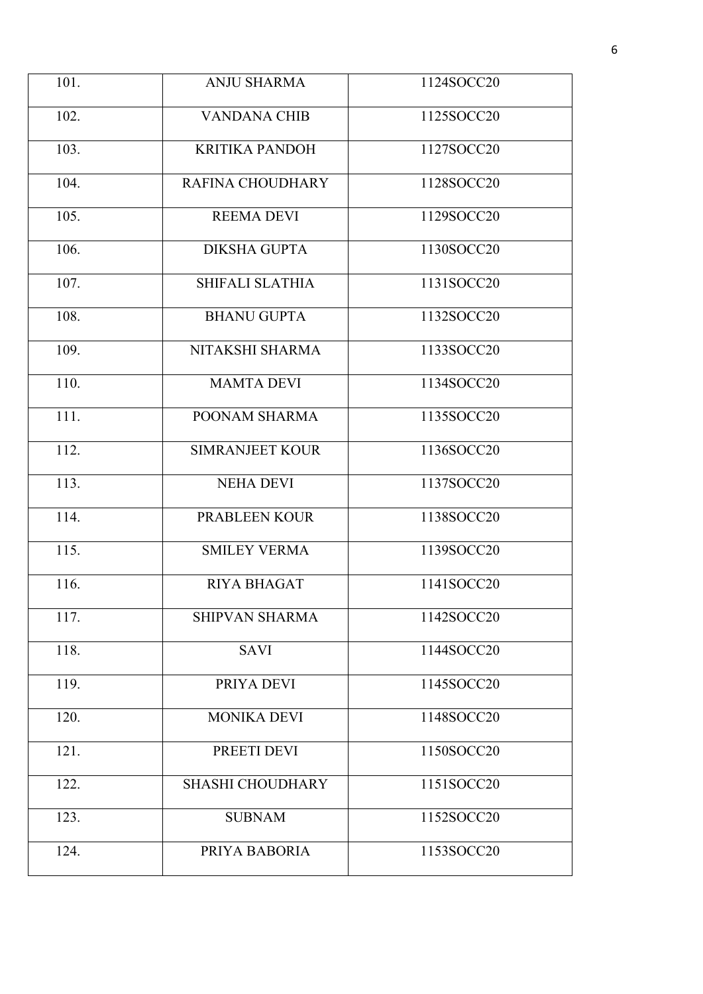| 101. | <b>ANJU SHARMA</b>      | 1124SOCC20 |
|------|-------------------------|------------|
| 102. | <b>VANDANA CHIB</b>     | 1125SOCC20 |
| 103. | <b>KRITIKA PANDOH</b>   | 1127SOCC20 |
| 104. | <b>RAFINA CHOUDHARY</b> | 1128SOCC20 |
| 105. | <b>REEMA DEVI</b>       | 1129SOCC20 |
| 106. | <b>DIKSHA GUPTA</b>     | 1130SOCC20 |
| 107. | SHIFALI SLATHIA         | 1131SOCC20 |
| 108. | <b>BHANU GUPTA</b>      | 1132SOCC20 |
| 109. | NITAKSHI SHARMA         | 1133SOCC20 |
| 110. | <b>MAMTA DEVI</b>       | 1134SOCC20 |
| 111. | POONAM SHARMA           | 1135SOCC20 |
| 112. | <b>SIMRANJEET KOUR</b>  | 1136SOCC20 |
| 113. | <b>NEHA DEVI</b>        | 1137SOCC20 |
| 114. | PRABLEEN KOUR           | 1138SOCC20 |
| 115. | <b>SMILEY VERMA</b>     | 1139SOCC20 |
| 116. | <b>RIYA BHAGAT</b>      | 1141SOCC20 |
| 117. | <b>SHIPVAN SHARMA</b>   | 1142SOCC20 |
| 118. | <b>SAVI</b>             | 1144SOCC20 |
| 119. | PRIYA DEVI              | 1145SOCC20 |
| 120. | <b>MONIKA DEVI</b>      | 1148SOCC20 |
| 121. | PREETI DEVI             | 1150SOCC20 |
| 122. | <b>SHASHI CHOUDHARY</b> | 1151SOCC20 |
| 123. | <b>SUBNAM</b>           | 1152SOCC20 |
| 124. | PRIYA BABORIA           | 1153SOCC20 |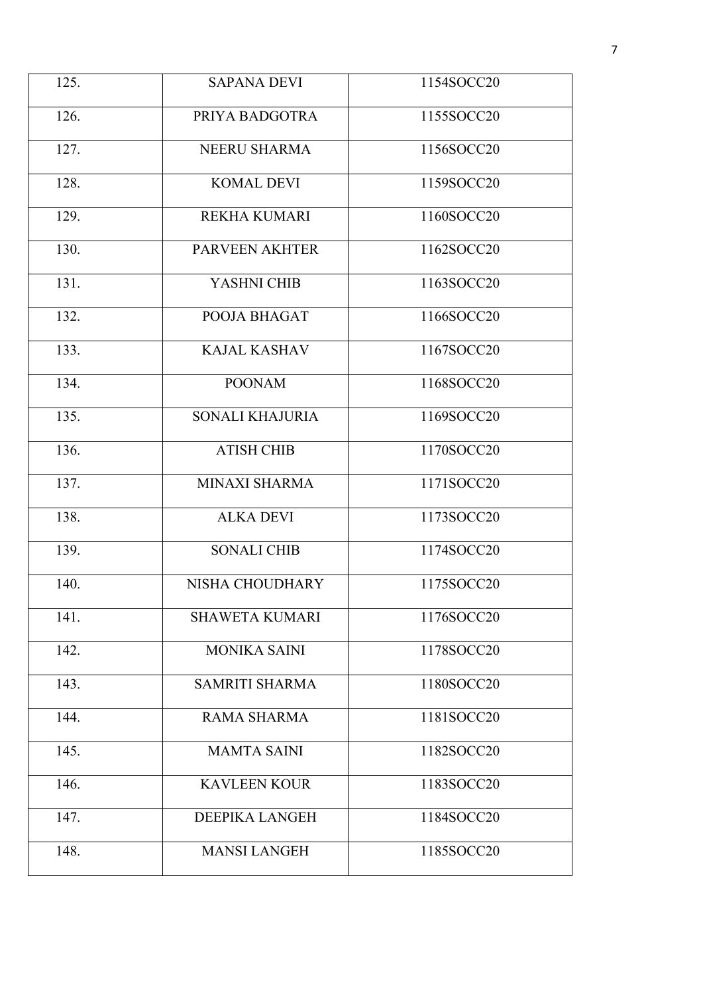| 125. | <b>SAPANA DEVI</b>     | 1154SOCC20 |
|------|------------------------|------------|
| 126. | PRIYA BADGOTRA         | 1155SOCC20 |
| 127. | NEERU SHARMA           | 1156SOCC20 |
| 128. | <b>KOMAL DEVI</b>      | 1159SOCC20 |
| 129. | <b>REKHA KUMARI</b>    | 1160SOCC20 |
| 130. | <b>PARVEEN AKHTER</b>  | 1162SOCC20 |
| 131. | YASHNI CHIB            | 1163SOCC20 |
| 132. | POOJA BHAGAT           | 1166SOCC20 |
| 133. | <b>KAJAL KASHAV</b>    | 1167SOCC20 |
| 134. | <b>POONAM</b>          | 1168SOCC20 |
| 135. | <b>SONALI KHAJURIA</b> | 1169SOCC20 |
| 136. | <b>ATISH CHIB</b>      | 1170SOCC20 |
| 137. | <b>MINAXI SHARMA</b>   | 1171SOCC20 |
| 138. | <b>ALKA DEVI</b>       | 1173SOCC20 |
| 139. | <b>SONALI CHIB</b>     | 1174SOCC20 |
| 140. | NISHA CHOUDHARY        | 1175SOCC20 |
| 141. | <b>SHAWETA KUMARI</b>  | 1176SOCC20 |
| 142. | <b>MONIKA SAINI</b>    | 1178SOCC20 |
| 143. | <b>SAMRITI SHARMA</b>  | 1180SOCC20 |
| 144. | <b>RAMA SHARMA</b>     | 1181SOCC20 |
| 145. | <b>MAMTA SAINI</b>     | 1182SOCC20 |
| 146. | <b>KAVLEEN KOUR</b>    | 1183SOCC20 |
| 147. | <b>DEEPIKA LANGEH</b>  | 1184SOCC20 |
| 148. | <b>MANSI LANGEH</b>    | 1185SOCC20 |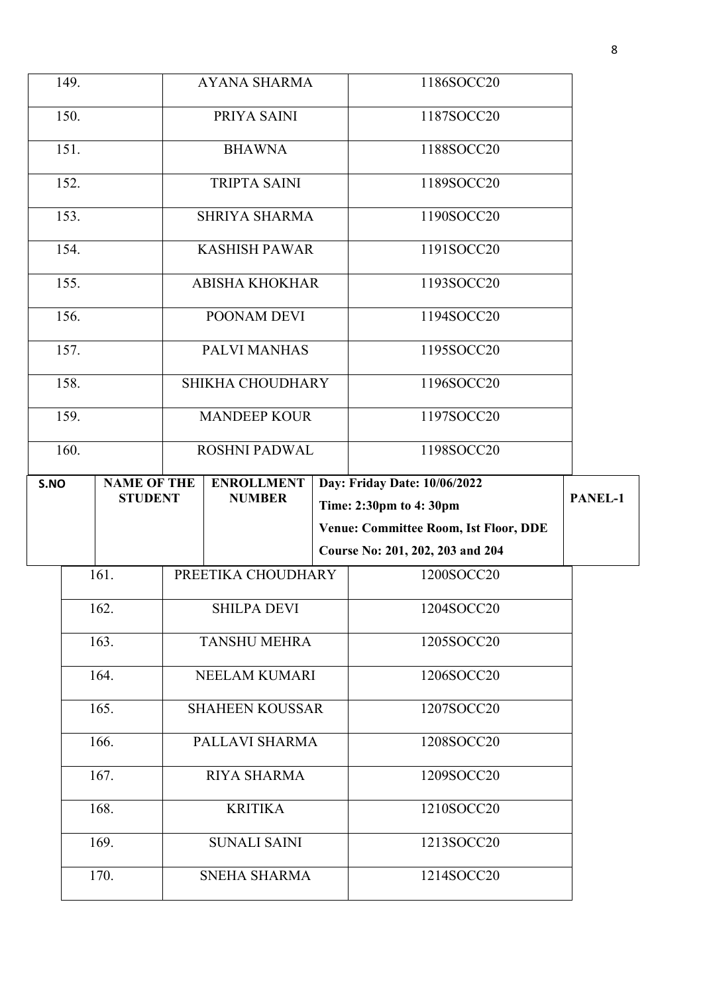|      | 149.                  |                    |                     | <b>AYANA SHARMA</b>     |            | 1186SOCC20                                   |         |
|------|-----------------------|--------------------|---------------------|-------------------------|------------|----------------------------------------------|---------|
|      | 150.<br>PRIYA SAINI   |                    | 1187SOCC20          |                         |            |                                              |         |
|      | 151.<br><b>BHAWNA</b> |                    | 1188SOCC20          |                         |            |                                              |         |
| 152. |                       |                    | <b>TRIPTA SAINI</b> |                         | 1189SOCC20 |                                              |         |
|      |                       |                    |                     |                         |            |                                              |         |
|      | 153.                  |                    |                     | <b>SHRIYA SHARMA</b>    |            | 1190SOCC20                                   |         |
|      | 154.                  |                    |                     | <b>KASHISH PAWAR</b>    |            | 1191SOCC20                                   |         |
|      | 155.                  |                    |                     | <b>ABISHA KHOKHAR</b>   |            | 1193SOCC20                                   |         |
|      | 156.                  |                    |                     | POONAM DEVI             |            | 1194SOCC20                                   |         |
|      | 157.                  |                    |                     | PALVI MANHAS            |            | 1195SOCC20                                   |         |
|      | 158.                  |                    |                     | <b>SHIKHA CHOUDHARY</b> |            | 1196SOCC20                                   |         |
|      | 159.                  |                    |                     | <b>MANDEEP KOUR</b>     |            | 1197SOCC20                                   |         |
|      | 160.                  |                    |                     | <b>ROSHNI PADWAL</b>    |            | 1198SOCC20                                   |         |
| S.NO |                       | <b>NAME OF THE</b> | <b>ENROLLMENT</b>   |                         |            | Day: Friday Date: 10/06/2022                 |         |
|      |                       |                    |                     |                         |            |                                              |         |
|      |                       | <b>STUDENT</b>     |                     | <b>NUMBER</b>           |            | Time: 2:30pm to 4:30pm                       | PANEL-1 |
|      |                       |                    |                     |                         |            | <b>Venue: Committee Room, Ist Floor, DDE</b> |         |
|      |                       |                    |                     |                         |            | Course No: 201, 202, 203 and 204             |         |
|      |                       | 161.               |                     | PREETIKA CHOUDHARY      |            | 1200SOCC20                                   |         |
|      |                       | 162.               |                     | <b>SHILPA DEVI</b>      |            | 1204SOCC20                                   |         |
|      |                       | 163.               |                     | <b>TANSHU MEHRA</b>     |            | 1205SOCC20                                   |         |
|      |                       | 164.               |                     | <b>NEELAM KUMARI</b>    |            | 1206SOCC20                                   |         |
|      |                       | 165.               |                     | <b>SHAHEEN KOUSSAR</b>  |            | 1207SOCC20                                   |         |
|      |                       | 166.               |                     | PALLAVI SHARMA          |            | 1208SOCC20                                   |         |
|      |                       | 167.               |                     | <b>RIYA SHARMA</b>      |            | 1209SOCC20                                   |         |
|      |                       | 168.               |                     | <b>KRITIKA</b>          |            | 1210SOCC20                                   |         |
|      |                       | 169.               |                     | <b>SUNALI SAINI</b>     |            | 1213SOCC20                                   |         |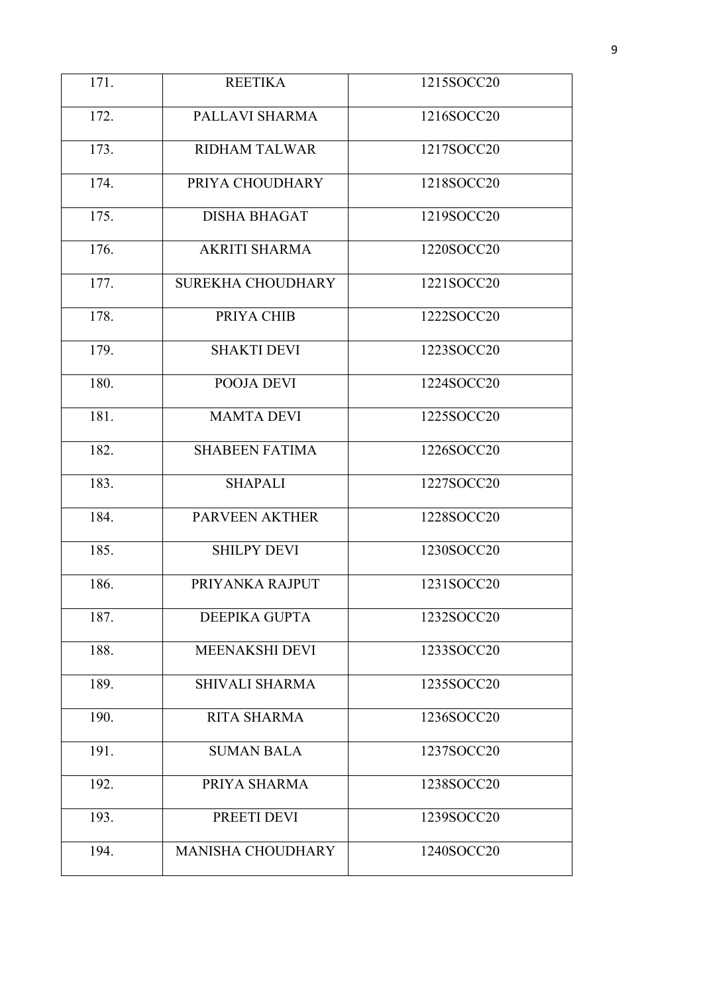| 171. | <b>REETIKA</b>           | 1215SOCC20 |
|------|--------------------------|------------|
| 172. | PALLAVI SHARMA           | 1216SOCC20 |
| 173. | <b>RIDHAM TALWAR</b>     | 1217SOCC20 |
| 174. | PRIYA CHOUDHARY          | 1218SOCC20 |
| 175. | <b>DISHA BHAGAT</b>      | 1219SOCC20 |
| 176. | <b>AKRITI SHARMA</b>     | 1220SOCC20 |
| 177. | <b>SUREKHA CHOUDHARY</b> | 1221SOCC20 |
| 178. | PRIYA CHIB               | 1222SOCC20 |
| 179. | <b>SHAKTI DEVI</b>       | 1223SOCC20 |
| 180. | POOJA DEVI               | 1224SOCC20 |
| 181. | <b>MAMTA DEVI</b>        | 1225SOCC20 |
| 182. | <b>SHABEEN FATIMA</b>    | 1226SOCC20 |
| 183. | <b>SHAPALI</b>           | 1227SOCC20 |
| 184. | PARVEEN AKTHER           | 1228SOCC20 |
| 185. | <b>SHILPY DEVI</b>       | 1230SOCC20 |
| 186. | PRIYANKA RAJPUT          | 1231SOCC20 |
| 187. | DEEPIKA GUPTA            | 1232SOCC20 |
| 188. | <b>MEENAKSHI DEVI</b>    | 1233SOCC20 |
| 189. | SHIVALI SHARMA           | 1235SOCC20 |
| 190. | <b>RITA SHARMA</b>       | 1236SOCC20 |
| 191. | <b>SUMAN BALA</b>        | 1237SOCC20 |
| 192. | PRIYA SHARMA             | 1238SOCC20 |
| 193. | PREETI DEVI              | 1239SOCC20 |
| 194. | <b>MANISHA CHOUDHARY</b> | 1240SOCC20 |
|      |                          |            |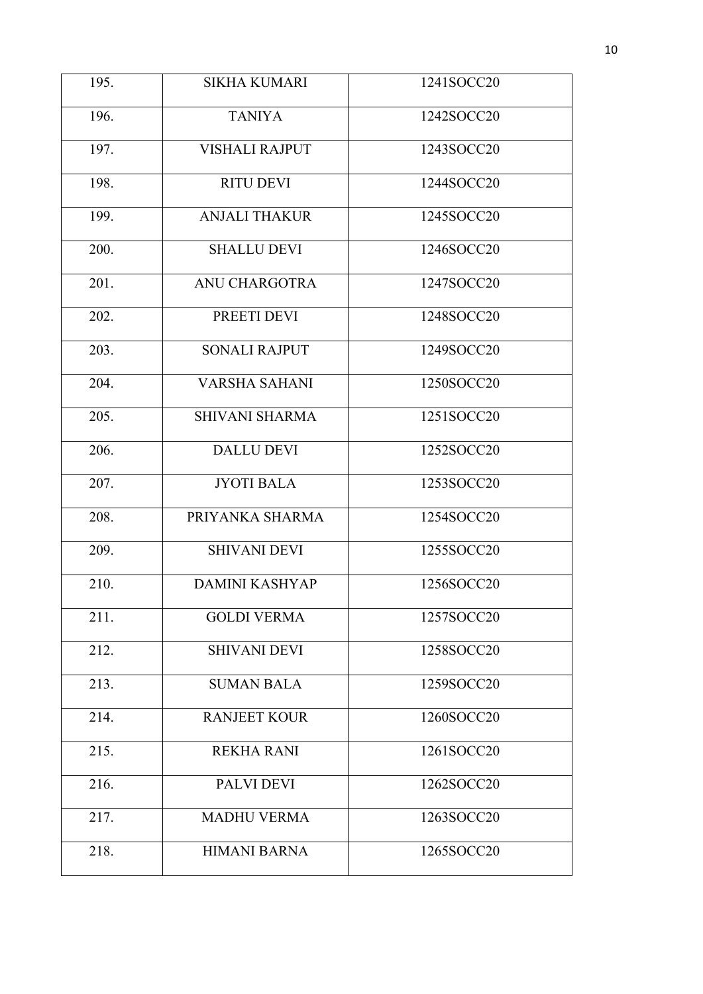| 195. | <b>SIKHA KUMARI</b>   | 1241SOCC20 |
|------|-----------------------|------------|
| 196. | <b>TANIYA</b>         | 1242SOCC20 |
| 197. | <b>VISHALI RAJPUT</b> | 1243SOCC20 |
| 198. | <b>RITU DEVI</b>      | 1244SOCC20 |
| 199. | <b>ANJALI THAKUR</b>  | 1245SOCC20 |
| 200. | <b>SHALLU DEVI</b>    | 1246SOCC20 |
| 201. | <b>ANU CHARGOTRA</b>  | 1247SOCC20 |
| 202. | PREETI DEVI           | 1248SOCC20 |
| 203. | <b>SONALI RAJPUT</b>  | 1249SOCC20 |
| 204. | <b>VARSHA SAHANI</b>  | 1250SOCC20 |
| 205. | <b>SHIVANI SHARMA</b> | 1251SOCC20 |
| 206. | <b>DALLU DEVI</b>     | 1252SOCC20 |
| 207. | <b>JYOTI BALA</b>     | 1253SOCC20 |
| 208. | PRIYANKA SHARMA       | 1254SOCC20 |
| 209. | <b>SHIVANI DEVI</b>   | 1255SOCC20 |
| 210. | <b>DAMINI KASHYAP</b> | 1256SOCC20 |
| 211. | <b>GOLDI VERMA</b>    | 1257SOCC20 |
| 212. | <b>SHIVANI DEVI</b>   | 1258SOCC20 |
| 213. | <b>SUMAN BALA</b>     | 1259SOCC20 |
| 214. | <b>RANJEET KOUR</b>   | 1260SOCC20 |
| 215. | <b>REKHA RANI</b>     | 1261SOCC20 |
| 216. | <b>PALVI DEVI</b>     | 1262SOCC20 |
| 217. | <b>MADHU VERMA</b>    | 1263SOCC20 |
| 218. | <b>HIMANI BARNA</b>   | 1265SOCC20 |
|      |                       |            |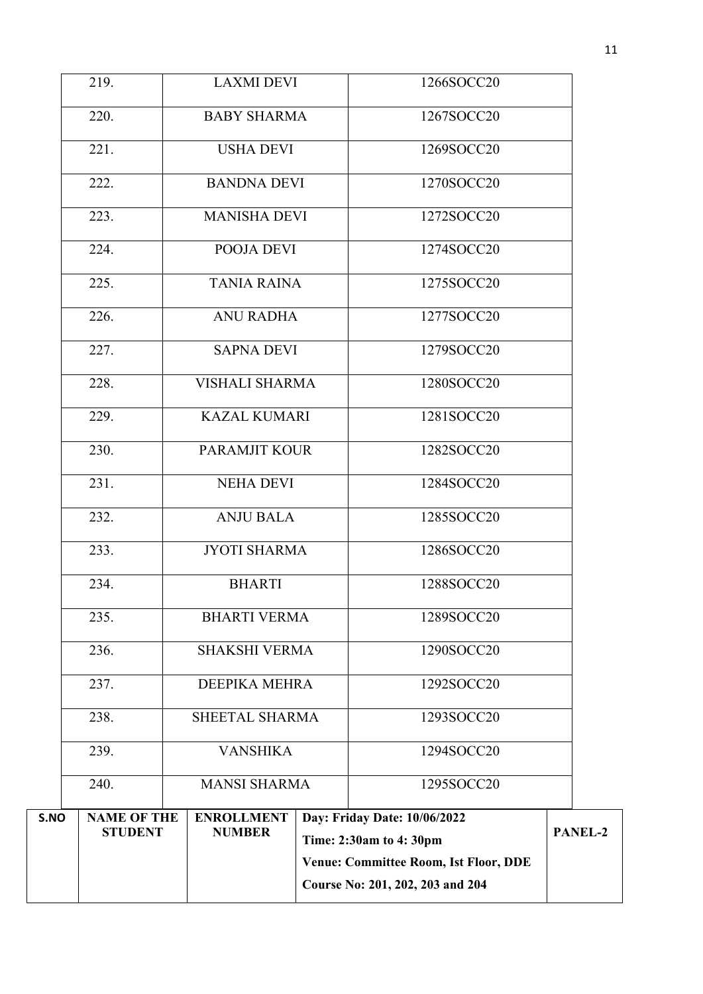|      |                            |                                          | Course No: 201, 202, 203 and 204             |                |
|------|----------------------------|------------------------------------------|----------------------------------------------|----------------|
|      |                            |                                          | <b>Venue: Committee Room, Ist Floor, DDE</b> |                |
| S.NO | <b>STUDENT</b>             | <b>NUMBER</b>                            | Time: 2:30am to 4:30pm                       | <b>PANEL-2</b> |
|      | 240.<br><b>NAME OF THE</b> | <b>MANSI SHARMA</b><br><b>ENROLLMENT</b> | 1295SOCC20<br>Day: Friday Date: 10/06/2022   |                |
|      | 239.                       | <b>VANSHIKA</b>                          | 1294SOCC20                                   |                |
|      | 238.                       | SHEETAL SHARMA                           | 1293SOCC20                                   |                |
|      | 237.                       | <b>DEEPIKA MEHRA</b>                     | 1292SOCC20                                   |                |
|      | 236.                       | <b>SHAKSHI VERMA</b>                     | 1290SOCC20                                   |                |
|      | 235.                       | <b>BHARTI VERMA</b>                      | 1289SOCC20                                   |                |
|      | 234.                       | <b>BHARTI</b>                            | 1288SOCC20                                   |                |
|      | 233.                       | <b>JYOTI SHARMA</b>                      | 1286SOCC20                                   |                |
|      | 232.                       | <b>ANJU BALA</b>                         | 1285SOCC20                                   |                |
|      | 231.                       | <b>NEHA DEVI</b>                         | 1284SOCC20                                   |                |
|      | 230.                       | <b>PARAMJIT KOUR</b>                     | 1282SOCC20                                   |                |
|      | 229.                       | <b>KAZAL KUMARI</b>                      | 1281SOCC20                                   |                |
|      | 228.                       | <b>VISHALI SHARMA</b>                    | 1280SOCC20                                   |                |
|      | 227.                       | <b>SAPNA DEVI</b>                        | 1279SOCC20                                   |                |
|      | 226.                       | <b>ANU RADHA</b>                         | 1277SOCC20                                   |                |
|      | 225.                       | <b>TANIA RAINA</b>                       | 1275SOCC20                                   |                |
|      | 224.                       | POOJA DEVI                               | 1274SOCC20                                   |                |
|      | 223.                       | <b>MANISHA DEVI</b>                      | 1272SOCC20                                   |                |
|      | 222.                       | <b>BANDNA DEVI</b>                       | 1270SOCC20                                   |                |
|      | 221.                       | <b>USHA DEVI</b>                         | 1269SOCC20                                   |                |
|      | 220.                       | <b>BABY SHARMA</b>                       | 1267SOCC20                                   |                |
|      | 219.                       | <b>LAXMI DEVI</b>                        | 1266SOCC20                                   |                |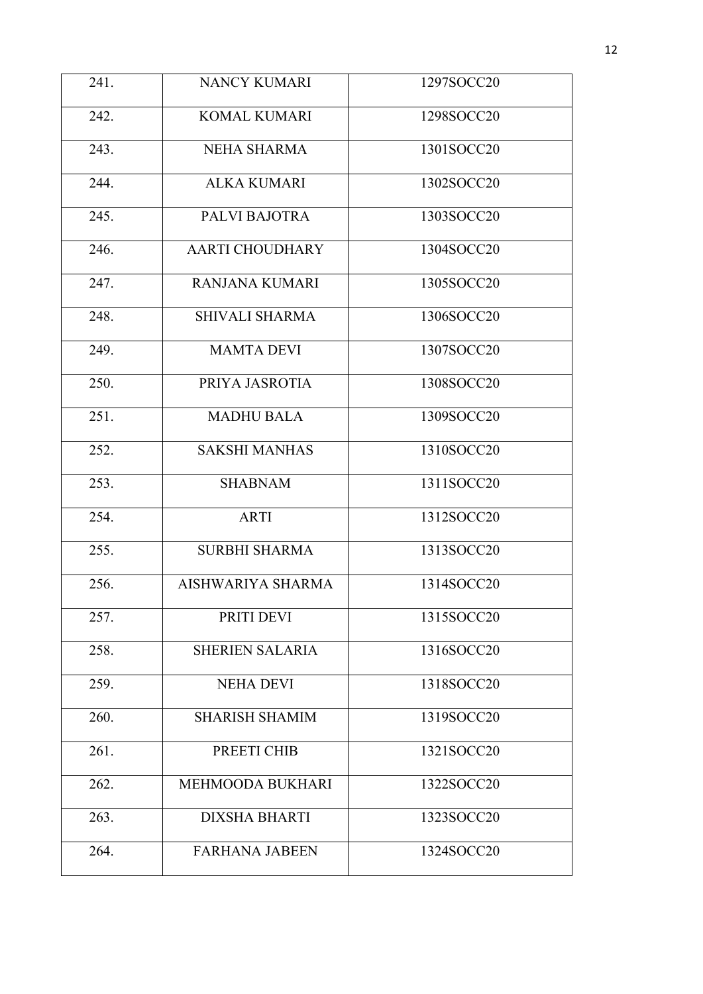| 241. | <b>NANCY KUMARI</b>    | 1297SOCC20 |
|------|------------------------|------------|
| 242. | <b>KOMAL KUMARI</b>    | 1298SOCC20 |
| 243. | <b>NEHA SHARMA</b>     | 1301SOCC20 |
| 244. | <b>ALKA KUMARI</b>     | 1302SOCC20 |
| 245. | PALVI BAJOTRA          | 1303SOCC20 |
| 246. | <b>AARTI CHOUDHARY</b> | 1304SOCC20 |
| 247. | <b>RANJANA KUMARI</b>  | 1305SOCC20 |
| 248. | <b>SHIVALI SHARMA</b>  | 1306SOCC20 |
| 249. | <b>MAMTA DEVI</b>      | 1307SOCC20 |
| 250. | PRIYA JASROTIA         | 1308SOCC20 |
| 251. | <b>MADHU BALA</b>      | 1309SOCC20 |
| 252. | <b>SAKSHI MANHAS</b>   | 1310SOCC20 |
| 253. | <b>SHABNAM</b>         | 1311SOCC20 |
| 254. | <b>ARTI</b>            | 1312SOCC20 |
| 255. | <b>SURBHI SHARMA</b>   | 1313SOCC20 |
| 256. | AISHWARIYA SHARMA      | 1314SOCC20 |
| 257. | PRITI DEVI             | 1315SOCC20 |
| 258. | <b>SHERIEN SALARIA</b> | 1316SOCC20 |
| 259. | <b>NEHA DEVI</b>       | 1318SOCC20 |
| 260. | <b>SHARISH SHAMIM</b>  | 1319SOCC20 |
| 261. | PREETI CHIB            | 1321SOCC20 |
| 262. | MEHMOODA BUKHARI       | 1322SOCC20 |
| 263. | <b>DIXSHA BHARTI</b>   | 1323SOCC20 |
| 264. | <b>FARHANA JABEEN</b>  | 1324SOCC20 |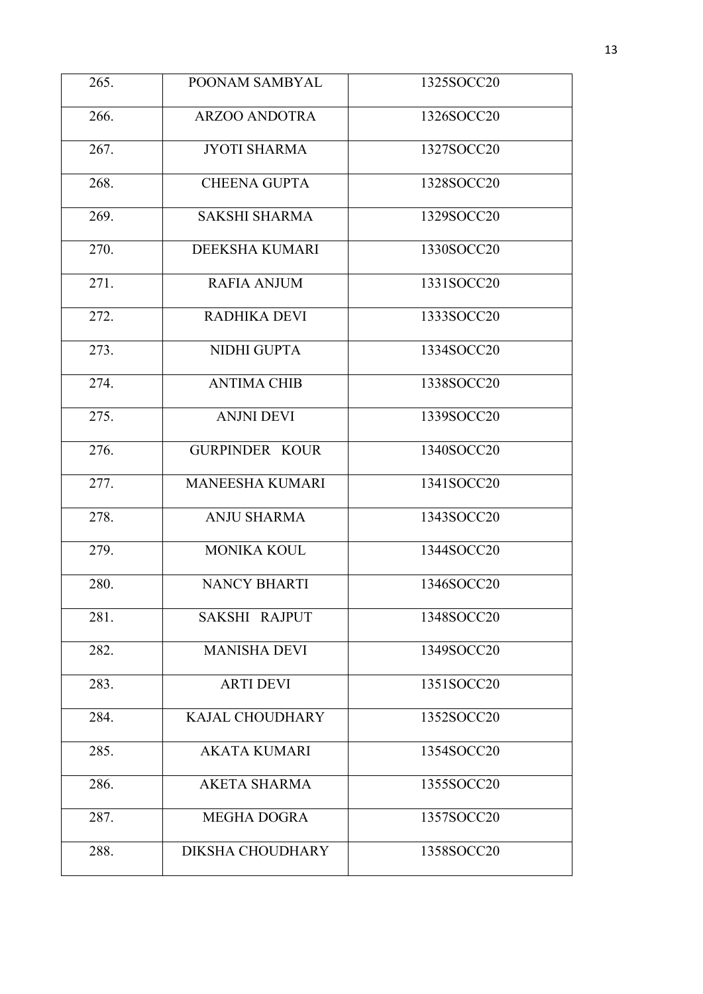| 265. | POONAM SAMBYAL         | 1325SOCC20 |
|------|------------------------|------------|
| 266. | <b>ARZOO ANDOTRA</b>   | 1326SOCC20 |
| 267. | <b>JYOTI SHARMA</b>    | 1327SOCC20 |
| 268. | <b>CHEENA GUPTA</b>    | 1328SOCC20 |
| 269. | <b>SAKSHI SHARMA</b>   | 1329SOCC20 |
| 270. | DEEKSHA KUMARI         | 1330SOCC20 |
| 271. | <b>RAFIA ANJUM</b>     | 1331SOCC20 |
| 272. | <b>RADHIKA DEVI</b>    | 1333SOCC20 |
| 273. | NIDHI GUPTA            | 1334SOCC20 |
| 274. | <b>ANTIMA CHIB</b>     | 1338SOCC20 |
| 275. | <b>ANJNI DEVI</b>      | 1339SOCC20 |
| 276. | <b>GURPINDER KOUR</b>  | 1340SOCC20 |
| 277. | <b>MANEESHA KUMARI</b> | 1341SOCC20 |
| 278. | <b>ANJU SHARMA</b>     | 1343SOCC20 |
| 279. | <b>MONIKA KOUL</b>     | 1344SOCC20 |
| 280. | <b>NANCY BHARTI</b>    | 1346SOCC20 |
| 281. | SAKSHI RAJPUT          | 1348SOCC20 |
| 282. | <b>MANISHA DEVI</b>    | 1349SOCC20 |
| 283. | <b>ARTI DEVI</b>       | 1351SOCC20 |
| 284. | <b>KAJAL CHOUDHARY</b> | 1352SOCC20 |
| 285. | <b>AKATA KUMARI</b>    | 1354SOCC20 |
| 286. | <b>AKETA SHARMA</b>    | 1355SOCC20 |
| 287. | <b>MEGHA DOGRA</b>     | 1357SOCC20 |
| 288. | DIKSHA CHOUDHARY       | 1358SOCC20 |
|      |                        |            |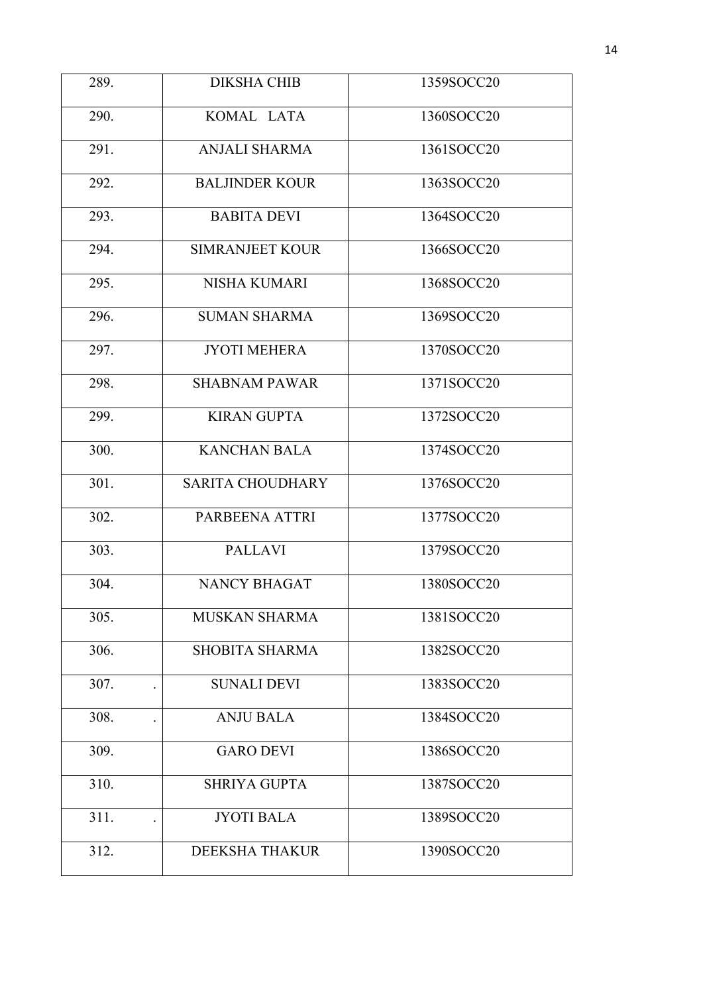| 289. | <b>DIKSHA CHIB</b>      | 1359SOCC20 |
|------|-------------------------|------------|
| 290. | KOMAL LATA              | 1360SOCC20 |
| 291. | <b>ANJALI SHARMA</b>    | 1361SOCC20 |
| 292. | <b>BALJINDER KOUR</b>   | 1363SOCC20 |
| 293. | <b>BABITA DEVI</b>      | 1364SOCC20 |
| 294. | <b>SIMRANJEET KOUR</b>  | 1366SOCC20 |
| 295. | <b>NISHA KUMARI</b>     | 1368SOCC20 |
| 296. | <b>SUMAN SHARMA</b>     | 1369SOCC20 |
| 297. | <b>JYOTI MEHERA</b>     | 1370SOCC20 |
| 298. | <b>SHABNAM PAWAR</b>    | 1371SOCC20 |
| 299. | <b>KIRAN GUPTA</b>      | 1372SOCC20 |
| 300. | <b>KANCHAN BALA</b>     | 1374SOCC20 |
| 301. | <b>SARITA CHOUDHARY</b> | 1376SOCC20 |
| 302. | PARBEENA ATTRI          | 1377SOCC20 |
| 303. | <b>PALLAVI</b>          | 1379SOCC20 |
| 304. | <b>NANCY BHAGAT</b>     | 1380SOCC20 |
| 305. | MUSKAN SHARMA           | 1381SOCC20 |
| 306. | <b>SHOBITA SHARMA</b>   | 1382SOCC20 |
| 307. | <b>SUNALI DEVI</b>      | 1383SOCC20 |
| 308. | <b>ANJU BALA</b>        | 1384SOCC20 |
| 309. | <b>GARO DEVI</b>        | 1386SOCC20 |
| 310. | <b>SHRIYA GUPTA</b>     | 1387SOCC20 |
| 311. | <b>JYOTI BALA</b>       | 1389SOCC20 |
| 312. | DEEKSHA THAKUR          | 1390SOCC20 |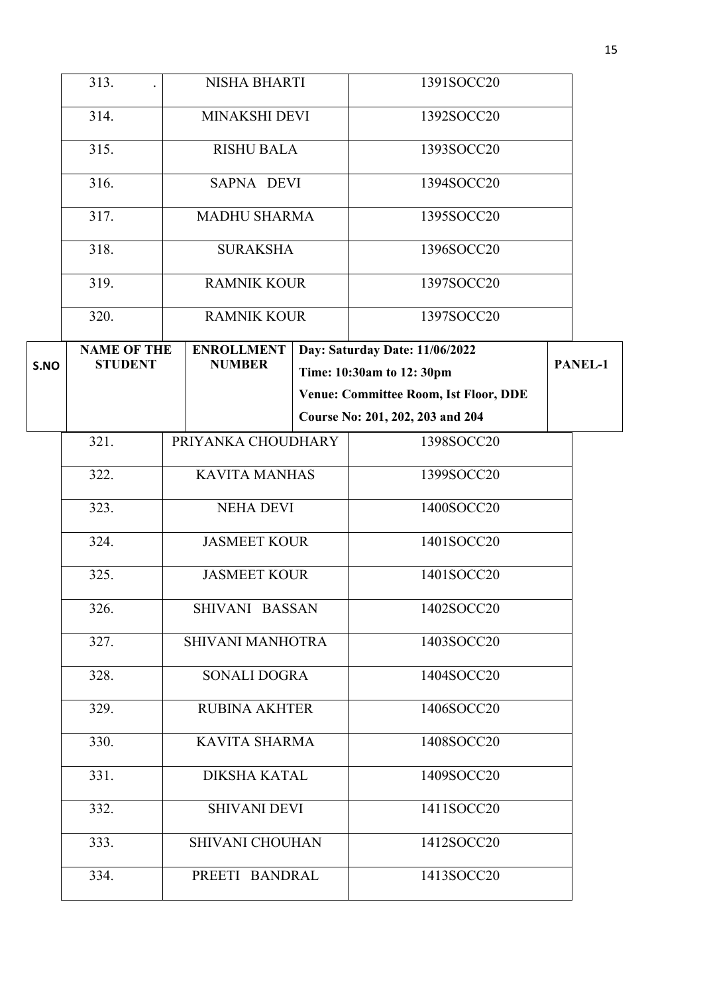|      | 313.               |                      | <b>NISHA BHARTI</b>    | 1391SOCC20                                   |         |
|------|--------------------|----------------------|------------------------|----------------------------------------------|---------|
|      | 314.               | <b>MINAKSHI DEVI</b> |                        | 1392SOCC20                                   |         |
|      | 315.               |                      | <b>RISHU BALA</b>      | 1393SOCC20                                   |         |
|      | 316.               |                      | SAPNA DEVI             | 1394SOCC20                                   |         |
|      | 317.               |                      | <b>MADHU SHARMA</b>    | 1395SOCC20                                   |         |
|      | 318.               |                      | <b>SURAKSHA</b>        | 1396SOCC20                                   |         |
|      | 319.               |                      | <b>RAMNIK KOUR</b>     | 1397SOCC20                                   |         |
|      | 320.               |                      | <b>RAMNIK KOUR</b>     | 1397SOCC20                                   |         |
|      | <b>NAME OF THE</b> |                      | <b>ENROLLMENT</b>      | Day: Saturday Date: 11/06/2022               |         |
| S.NO | <b>STUDENT</b>     |                      | <b>NUMBER</b>          | Time: 10:30am to 12: 30pm                    | PANEL-1 |
|      |                    |                      |                        | <b>Venue: Committee Room, Ist Floor, DDE</b> |         |
|      |                    |                      |                        | Course No: 201, 202, 203 and 204             |         |
|      | 321.               |                      | PRIYANKA CHOUDHARY     | 1398SOCC20                                   |         |
|      | 322.               |                      | <b>KAVITA MANHAS</b>   | 1399SOCC20                                   |         |
|      | 323.               |                      | <b>NEHA DEVI</b>       | 1400SOCC20                                   |         |
|      | 324.               |                      | <b>JASMEET KOUR</b>    | 1401SOCC20                                   |         |
|      | 325.               |                      | <b>JASMEET KOUR</b>    | 1401SOCC20                                   |         |
|      | 326.               |                      | SHIVANI BASSAN         | 1402SOCC20                                   |         |
|      | 327.               |                      | SHIVANI MANHOTRA       | 1403SOCC20                                   |         |
|      | 328.               |                      | <b>SONALI DOGRA</b>    | 1404SOCC20                                   |         |
|      | 329.               |                      | <b>RUBINA AKHTER</b>   | 1406SOCC20                                   |         |
|      | 330.               |                      | <b>KAVITA SHARMA</b>   | 1408SOCC20                                   |         |
|      | 331.               |                      | <b>DIKSHA KATAL</b>    | 1409SOCC20                                   |         |
|      | 332.               |                      | <b>SHIVANI DEVI</b>    | 1411SOCC20                                   |         |
|      | 333.               |                      | <b>SHIVANI CHOUHAN</b> | 1412SOCC20                                   |         |
|      | 334.               |                      | PREETI BANDRAL         | 1413SOCC20                                   |         |
|      |                    |                      |                        |                                              |         |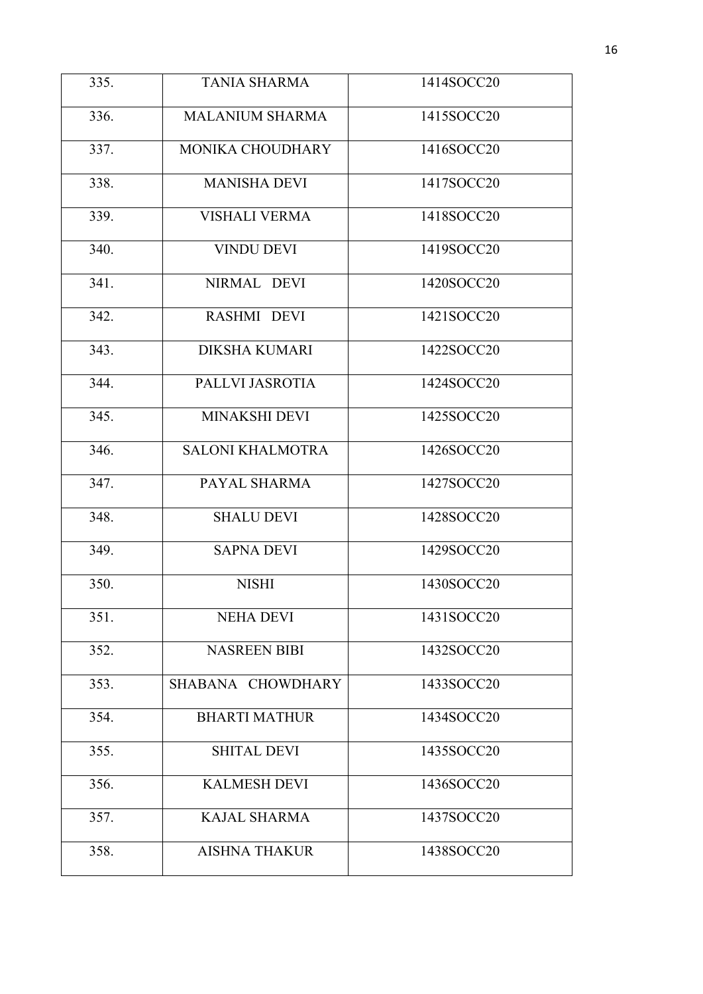| 335. | <b>TANIA SHARMA</b>     | 1414SOCC20 |
|------|-------------------------|------------|
| 336. | <b>MALANIUM SHARMA</b>  | 1415SOCC20 |
| 337. | MONIKA CHOUDHARY        | 1416SOCC20 |
| 338. | <b>MANISHA DEVI</b>     | 1417SOCC20 |
| 339. | <b>VISHALI VERMA</b>    | 1418SOCC20 |
| 340. | <b>VINDU DEVI</b>       | 1419SOCC20 |
| 341. | NIRMAL DEVI             | 1420SOCC20 |
| 342. | RASHMI DEVI             | 1421SOCC20 |
| 343. | <b>DIKSHA KUMARI</b>    | 1422SOCC20 |
| 344. | PALLVI JASROTIA         | 1424SOCC20 |
| 345. | MINAKSHI DEVI           | 1425SOCC20 |
| 346. | <b>SALONI KHALMOTRA</b> | 1426SOCC20 |
| 347. | PAYAL SHARMA            | 1427SOCC20 |
| 348. | <b>SHALU DEVI</b>       | 1428SOCC20 |
| 349. | <b>SAPNA DEVI</b>       | 1429SOCC20 |
| 350. | <b>NISHI</b>            | 1430SOCC20 |
| 351. | <b>NEHA DEVI</b>        | 1431SOCC20 |
| 352. | <b>NASREEN BIBI</b>     | 1432SOCC20 |
| 353. | SHABANA CHOWDHARY       | 1433SOCC20 |
| 354. | <b>BHARTI MATHUR</b>    | 1434SOCC20 |
| 355. | <b>SHITAL DEVI</b>      | 1435SOCC20 |
| 356. | <b>KALMESH DEVI</b>     | 1436SOCC20 |
| 357. | <b>KAJAL SHARMA</b>     | 1437SOCC20 |
| 358. | <b>AISHNA THAKUR</b>    | 1438SOCC20 |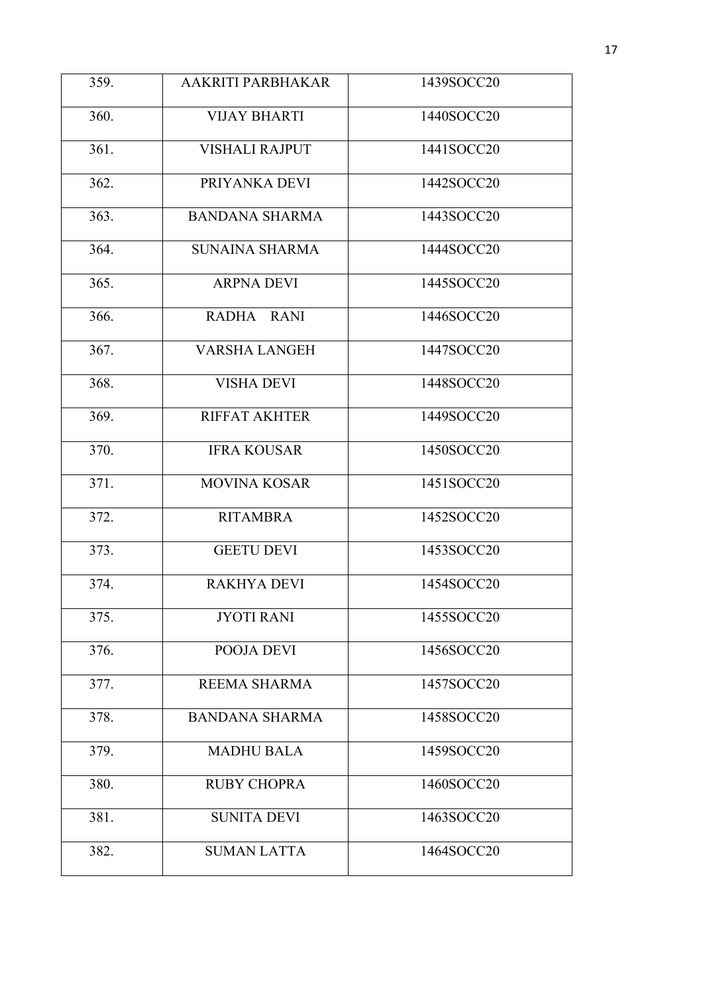| 359. | AAKRITI PARBHAKAR     | 1439SOCC20 |
|------|-----------------------|------------|
| 360. | <b>VIJAY BHARTI</b>   | 1440SOCC20 |
| 361. | <b>VISHALI RAJPUT</b> | 1441SOCC20 |
| 362. | PRIYANKA DEVI         | 1442SOCC20 |
| 363. | <b>BANDANA SHARMA</b> | 1443SOCC20 |
| 364. | <b>SUNAINA SHARMA</b> | 1444SOCC20 |
| 365. | <b>ARPNA DEVI</b>     | 1445SOCC20 |
| 366. | RADHA RANI            | 1446SOCC20 |
| 367. | <b>VARSHA LANGEH</b>  | 1447SOCC20 |
| 368. | <b>VISHA DEVI</b>     | 1448SOCC20 |
| 369. | <b>RIFFAT AKHTER</b>  | 1449SOCC20 |
| 370. | <b>IFRA KOUSAR</b>    | 1450SOCC20 |
| 371. | <b>MOVINA KOSAR</b>   | 1451SOCC20 |
| 372. | <b>RITAMBRA</b>       | 1452SOCC20 |
| 373. | <b>GEETU DEVI</b>     | 1453SOCC20 |
| 374. | <b>RAKHYA DEVI</b>    | 1454SOCC20 |
| 375. | <b>JYOTI RANI</b>     | 1455SOCC20 |
| 376. | POOJA DEVI            | 1456SOCC20 |
| 377. | REEMA SHARMA          | 1457SOCC20 |
| 378. | <b>BANDANA SHARMA</b> | 1458SOCC20 |
| 379. | <b>MADHU BALA</b>     | 1459SOCC20 |
| 380. | <b>RUBY CHOPRA</b>    | 1460SOCC20 |
| 381. | <b>SUNITA DEVI</b>    | 1463SOCC20 |
| 382. | <b>SUMAN LATTA</b>    | 1464SOCC20 |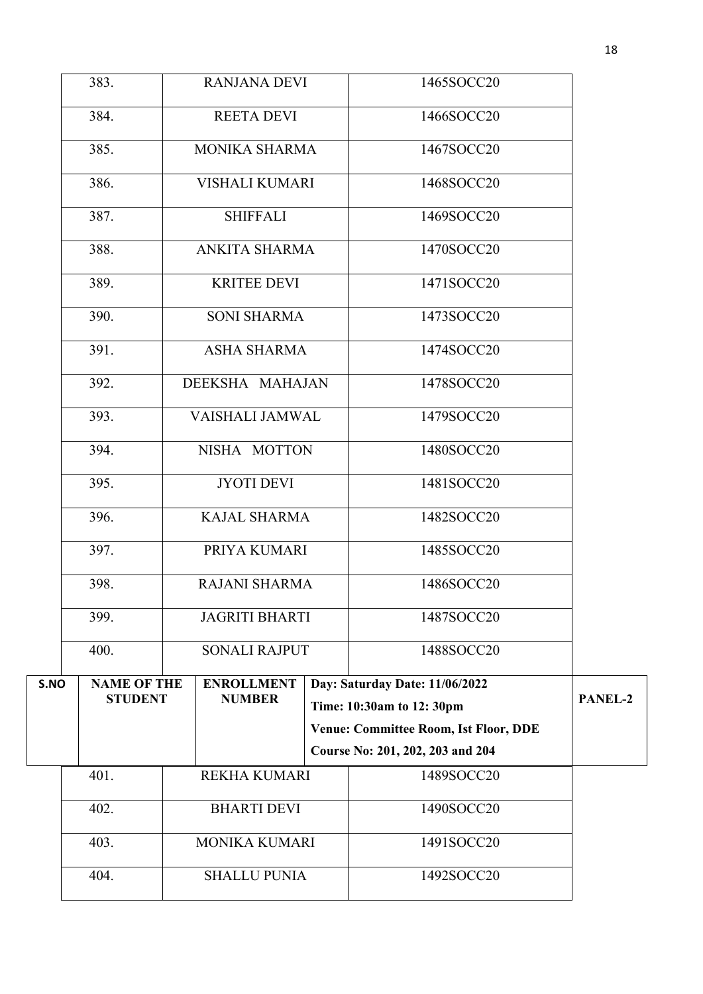|      | 401.               | REKHA KUMARI          | 1489SOCC20                                   |         |
|------|--------------------|-----------------------|----------------------------------------------|---------|
|      |                    |                       | Course No: 201, 202, 203 and 204             |         |
|      |                    |                       | <b>Venue: Committee Room, Ist Floor, DDE</b> |         |
| S.NO | <b>STUDENT</b>     | <b>NUMBER</b>         | Time: 10:30am to 12: 30pm                    | PANEL-2 |
|      | <b>NAME OF THE</b> | <b>ENROLLMENT</b>     | Day: Saturday Date: 11/06/2022               |         |
|      | 400.               | <b>SONALI RAJPUT</b>  | 1488SOCC20                                   |         |
|      | 399.               | <b>JAGRITI BHARTI</b> | 1487SOCC20                                   |         |
|      | 398.               | <b>RAJANI SHARMA</b>  | 1486SOCC20                                   |         |
|      | 397.               | PRIYA KUMARI          | 1485SOCC20                                   |         |
|      | 396.               | <b>KAJAL SHARMA</b>   | 1482SOCC20                                   |         |
|      | 395.               | <b>JYOTI DEVI</b>     | 1481SOCC20                                   |         |
|      | 394.               | NISHA MOTTON          | 1480SOCC20                                   |         |
|      | 393.               | VAISHALI JAMWAL       | 1479SOCC20                                   |         |
|      | 392.               | DEEKSHA MAHAJAN       | 1478SOCC20                                   |         |
|      | 391.               | <b>ASHA SHARMA</b>    | 1474SOCC20                                   |         |
|      | 390.               | <b>SONI SHARMA</b>    | 1473SOCC20                                   |         |
|      | 389.               | <b>KRITEE DEVI</b>    | 1471SOCC20                                   |         |
|      | 388.               | ANKITA SHARMA         | 1470SOCC20                                   |         |
|      | 387.               | <b>SHIFFALI</b>       | 1469SOCC20                                   |         |
|      | 386.               | VISHALI KUMARI        | 1468SOCC20                                   |         |
|      |                    |                       |                                              |         |
|      | 385.               | MONIKA SHARMA         | 1467SOCC20                                   |         |
|      | 384.               | <b>REETA DEVI</b>     | 1466SOCC20                                   |         |
|      | 383.               | <b>RANJANA DEVI</b>   | 1465SOCC20                                   |         |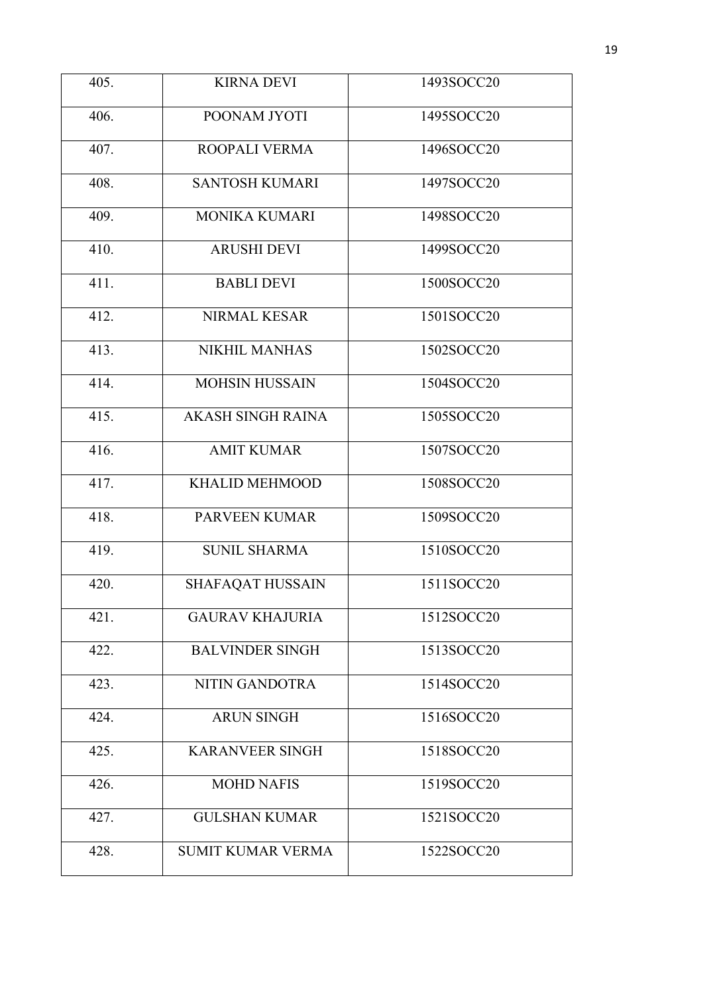| 405. | <b>KIRNA DEVI</b>        | 1493SOCC20 |
|------|--------------------------|------------|
| 406. | POONAM JYOTI             | 1495SOCC20 |
| 407. | ROOPALI VERMA            | 1496SOCC20 |
| 408. | <b>SANTOSH KUMARI</b>    | 1497SOCC20 |
| 409. | <b>MONIKA KUMARI</b>     | 1498SOCC20 |
| 410. | <b>ARUSHI DEVI</b>       | 1499SOCC20 |
| 411. | <b>BABLI DEVI</b>        | 1500SOCC20 |
| 412. | NIRMAL KESAR             | 1501SOCC20 |
| 413. | <b>NIKHIL MANHAS</b>     | 1502SOCC20 |
| 414. | <b>MOHSIN HUSSAIN</b>    | 1504SOCC20 |
| 415. | <b>AKASH SINGH RAINA</b> | 1505SOCC20 |
| 416. | <b>AMIT KUMAR</b>        | 1507SOCC20 |
| 417. | <b>KHALID MEHMOOD</b>    | 1508SOCC20 |
| 418. | PARVEEN KUMAR            | 1509SOCC20 |
| 419. | <b>SUNIL SHARMA</b>      | 1510SOCC20 |
| 420. | <b>SHAFAQAT HUSSAIN</b>  | 1511SOCC20 |
| 421. | <b>GAURAV KHAJURIA</b>   | 1512SOCC20 |
| 422. | <b>BALVINDER SINGH</b>   | 1513SOCC20 |
| 423. | NITIN GANDOTRA           | 1514SOCC20 |
| 424. | <b>ARUN SINGH</b>        | 1516SOCC20 |
| 425. | <b>KARANVEER SINGH</b>   | 1518SOCC20 |
| 426. | <b>MOHD NAFIS</b>        | 1519SOCC20 |
| 427. | <b>GULSHAN KUMAR</b>     | 1521SOCC20 |
| 428. | <b>SUMIT KUMAR VERMA</b> | 1522SOCC20 |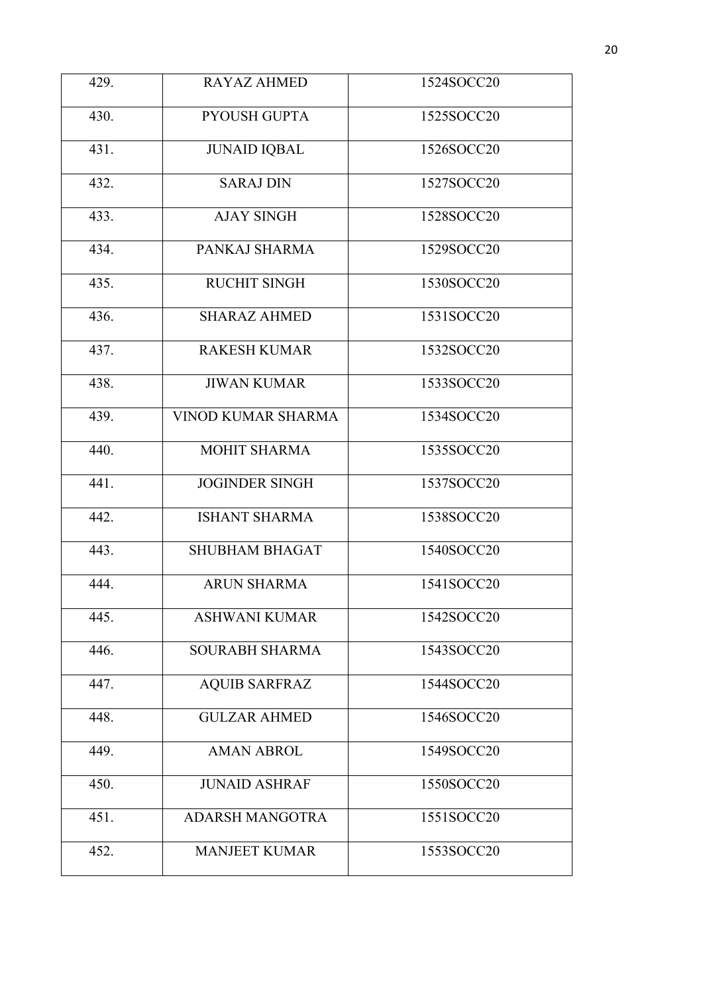| 429. | <b>RAYAZ AHMED</b>        | 1524SOCC20 |
|------|---------------------------|------------|
| 430. | PYOUSH GUPTA              | 1525SOCC20 |
| 431. | <b>JUNAID IQBAL</b>       | 1526SOCC20 |
| 432. | <b>SARAJ DIN</b>          | 1527SOCC20 |
| 433. | <b>AJAY SINGH</b>         | 1528SOCC20 |
| 434. | PANKAJ SHARMA             | 1529SOCC20 |
| 435. | <b>RUCHIT SINGH</b>       | 1530SOCC20 |
| 436. | <b>SHARAZ AHMED</b>       | 1531SOCC20 |
| 437. | <b>RAKESH KUMAR</b>       | 1532SOCC20 |
| 438. | <b>JIWAN KUMAR</b>        | 1533SOCC20 |
| 439. | <b>VINOD KUMAR SHARMA</b> | 1534SOCC20 |
| 440. | <b>MOHIT SHARMA</b>       | 1535SOCC20 |
| 441. | <b>JOGINDER SINGH</b>     | 1537SOCC20 |
| 442. | <b>ISHANT SHARMA</b>      | 1538SOCC20 |
| 443. | <b>SHUBHAM BHAGAT</b>     | 1540SOCC20 |
| 444. | <b>ARUN SHARMA</b>        | 1541SOCC20 |
| 445. | <b>ASHWANI KUMAR</b>      | 1542SOCC20 |
| 446. | <b>SOURABH SHARMA</b>     | 1543SOCC20 |
| 447. | <b>AQUIB SARFRAZ</b>      | 1544SOCC20 |
| 448. | <b>GULZAR AHMED</b>       | 1546SOCC20 |
| 449. | <b>AMAN ABROL</b>         | 1549SOCC20 |
| 450. | <b>JUNAID ASHRAF</b>      | 1550SOCC20 |
| 451. | <b>ADARSH MANGOTRA</b>    | 1551SOCC20 |
| 452. | <b>MANJEET KUMAR</b>      | 1553SOCC20 |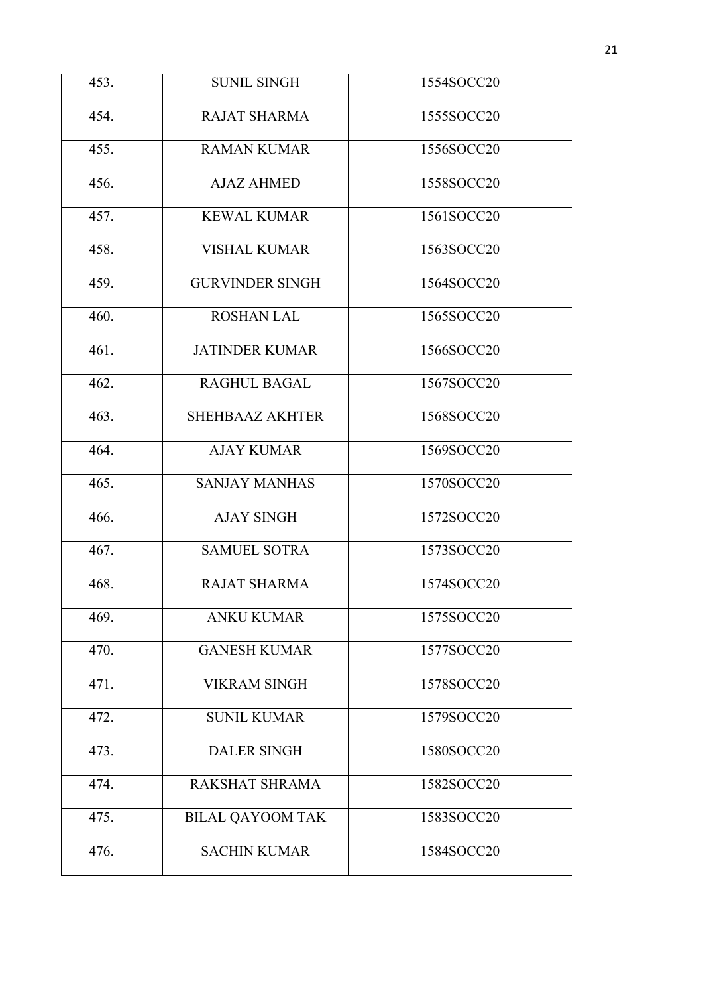| 453. | <b>SUNIL SINGH</b>      | 1554SOCC20 |
|------|-------------------------|------------|
| 454. | <b>RAJAT SHARMA</b>     | 1555SOCC20 |
| 455. | <b>RAMAN KUMAR</b>      | 1556SOCC20 |
| 456. | <b>AJAZ AHMED</b>       | 1558SOCC20 |
| 457. | <b>KEWAL KUMAR</b>      | 1561SOCC20 |
| 458. | <b>VISHAL KUMAR</b>     | 1563SOCC20 |
| 459. | <b>GURVINDER SINGH</b>  | 1564SOCC20 |
| 460. | <b>ROSHAN LAL</b>       | 1565SOCC20 |
| 461. | <b>JATINDER KUMAR</b>   | 1566SOCC20 |
| 462. | RAGHUL BAGAL            | 1567SOCC20 |
| 463. | <b>SHEHBAAZ AKHTER</b>  | 1568SOCC20 |
| 464. | <b>AJAY KUMAR</b>       | 1569SOCC20 |
| 465. | <b>SANJAY MANHAS</b>    | 1570SOCC20 |
| 466. | <b>AJAY SINGH</b>       | 1572SOCC20 |
| 467. | <b>SAMUEL SOTRA</b>     | 1573SOCC20 |
| 468. | <b>RAJAT SHARMA</b>     | 1574SOCC20 |
| 469. | <b>ANKU KUMAR</b>       | 1575SOCC20 |
| 470. | <b>GANESH KUMAR</b>     | 1577SOCC20 |
| 471. | <b>VIKRAM SINGH</b>     | 1578SOCC20 |
| 472. | <b>SUNIL KUMAR</b>      | 1579SOCC20 |
| 473. | <b>DALER SINGH</b>      | 1580SOCC20 |
| 474. | RAKSHAT SHRAMA          | 1582SOCC20 |
| 475. | <b>BILAL QAYOOM TAK</b> | 1583SOCC20 |
| 476. | <b>SACHIN KUMAR</b>     | 1584SOCC20 |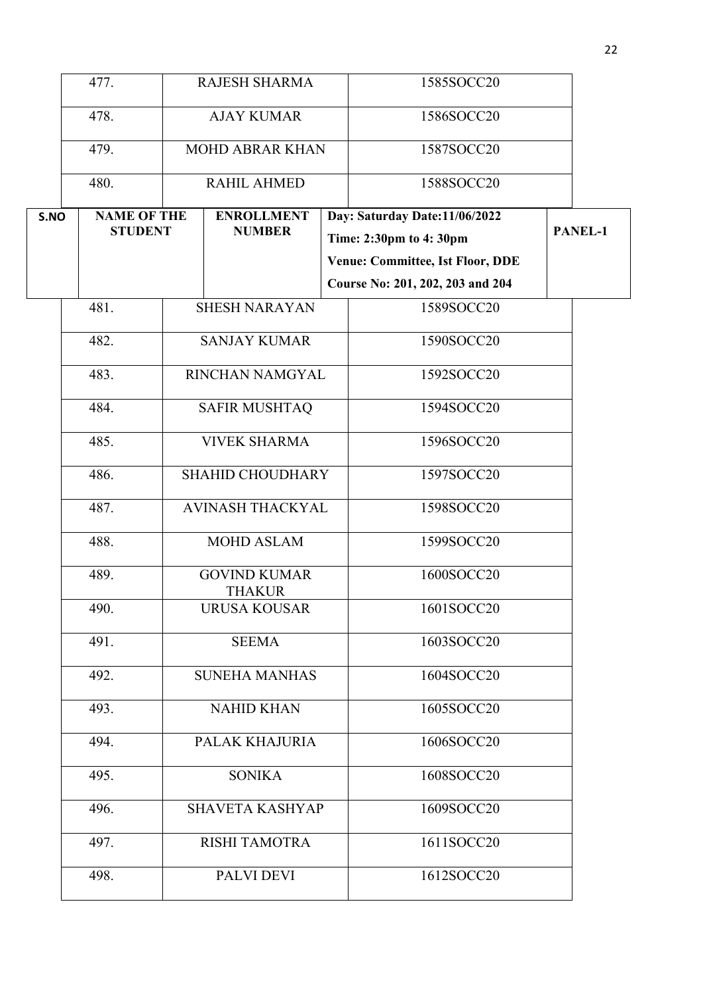|      | 477.               | <b>RAJESH SHARMA</b>    |                                      |  | 1585SOCC20                              |                |
|------|--------------------|-------------------------|--------------------------------------|--|-----------------------------------------|----------------|
|      |                    |                         |                                      |  |                                         |                |
|      | 478.               | <b>AJAY KUMAR</b>       |                                      |  | 1586SOCC20                              |                |
|      | 479.               |                         | <b>MOHD ABRAR KHAN</b>               |  | 1587SOCC20                              |                |
|      | 480.               |                         | <b>RAHIL AHMED</b>                   |  | 1588SOCC20                              |                |
| S.NO | <b>NAME OF THE</b> |                         | <b>ENROLLMENT</b>                    |  | Day: Saturday Date:11/06/2022           |                |
|      | <b>STUDENT</b>     |                         | <b>NUMBER</b>                        |  | Time: 2:30pm to 4:30pm                  | <b>PANEL-1</b> |
|      |                    |                         |                                      |  | <b>Venue: Committee, Ist Floor, DDE</b> |                |
|      |                    |                         |                                      |  | Course No: 201, 202, 203 and 204        |                |
|      | 481.               |                         | <b>SHESH NARAYAN</b>                 |  | 1589SOCC20                              |                |
|      | 482.               |                         | <b>SANJAY KUMAR</b>                  |  | 1590SOCC20                              |                |
|      | 483.               |                         | RINCHAN NAMGYAL                      |  | 1592SOCC20                              |                |
|      | 484.               |                         | <b>SAFIR MUSHTAQ</b>                 |  | 1594SOCC20                              |                |
|      | 485.               |                         | <b>VIVEK SHARMA</b>                  |  | 1596SOCC20                              |                |
|      | 486.               | <b>SHAHID CHOUDHARY</b> |                                      |  | 1597SOCC20                              |                |
|      | 487.               | <b>AVINASH THACKYAL</b> |                                      |  | 1598SOCC20                              |                |
|      | 488.               |                         | <b>MOHD ASLAM</b>                    |  | 1599SOCC20                              |                |
|      | 489.               |                         | <b>GOVIND KUMAR</b><br><b>THAKUR</b> |  | 1600SOCC20                              |                |
|      | 490.               |                         | <b>URUSA KOUSAR</b>                  |  | 1601SOCC20                              |                |
|      | 491.               |                         | <b>SEEMA</b>                         |  | 1603SOCC20                              |                |
|      | 492.               | <b>SUNEHA MANHAS</b>    |                                      |  | 1604SOCC20                              |                |
|      | 493.               | <b>NAHID KHAN</b>       |                                      |  | 1605SOCC20                              |                |
|      | 494.               | PALAK KHAJURIA          |                                      |  | 1606SOCC20                              |                |
|      | 495.               | <b>SONIKA</b>           |                                      |  | 1608SOCC20                              |                |
|      | 496.               |                         | <b>SHAVETA KASHYAP</b>               |  | 1609SOCC20                              |                |
|      | 497.               |                         | <b>RISHI TAMOTRA</b>                 |  | 1611SOCC20                              |                |
|      | 498.               |                         | PALVI DEVI                           |  | 1612SOCC20                              |                |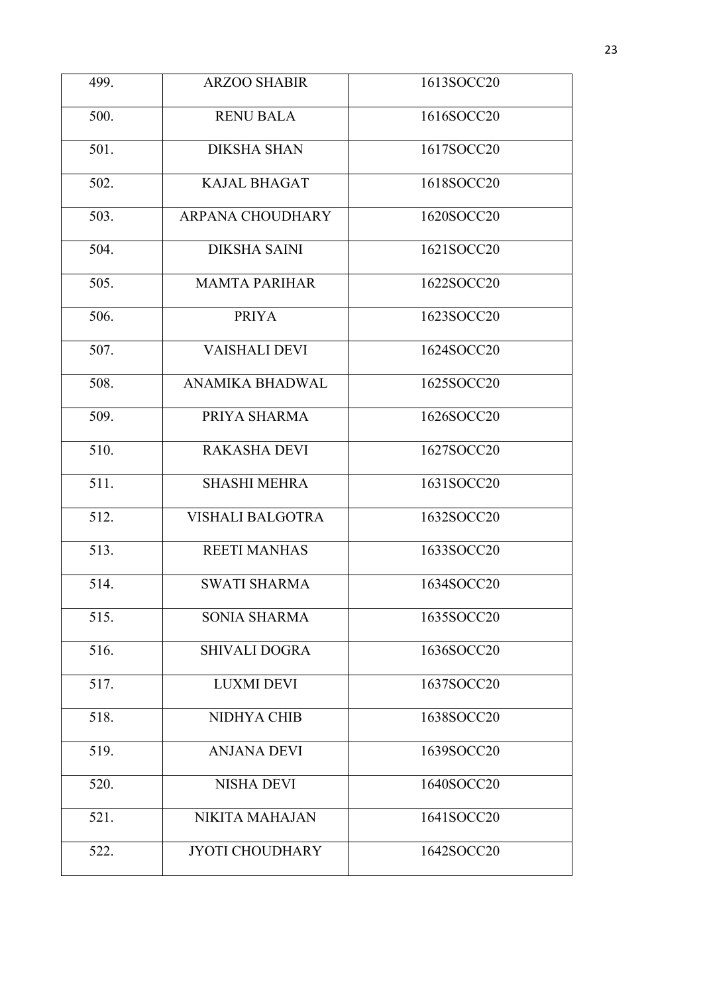| 499. | <b>ARZOO SHABIR</b>     | 1613SOCC20 |  |  |
|------|-------------------------|------------|--|--|
|      |                         |            |  |  |
| 500. | <b>RENU BALA</b>        | 1616SOCC20 |  |  |
| 501. | <b>DIKSHA SHAN</b>      | 1617SOCC20 |  |  |
| 502. | <b>KAJAL BHAGAT</b>     | 1618SOCC20 |  |  |
| 503. | <b>ARPANA CHOUDHARY</b> | 1620SOCC20 |  |  |
| 504. | <b>DIKSHA SAINI</b>     | 1621SOCC20 |  |  |
| 505. | <b>MAMTA PARIHAR</b>    | 1622SOCC20 |  |  |
| 506. | <b>PRIYA</b>            | 1623SOCC20 |  |  |
| 507. | <b>VAISHALI DEVI</b>    | 1624SOCC20 |  |  |
| 508. | ANAMIKA BHADWAL         | 1625SOCC20 |  |  |
| 509. | PRIYA SHARMA            | 1626SOCC20 |  |  |
| 510. | <b>RAKASHA DEVI</b>     | 1627SOCC20 |  |  |
| 511. | <b>SHASHI MEHRA</b>     | 1631SOCC20 |  |  |
| 512. | <b>VISHALI BALGOTRA</b> | 1632SOCC20 |  |  |
| 513. | <b>REETI MANHAS</b>     | 1633SOCC20 |  |  |
| 514. | <b>SWATI SHARMA</b>     | 1634SOCC20 |  |  |
| 515. | SONIA SHARMA            | 1635SOCC20 |  |  |
| 516. | <b>SHIVALI DOGRA</b>    | 1636SOCC20 |  |  |
| 517. | <b>LUXMI DEVI</b>       | 1637SOCC20 |  |  |
| 518. | NIDHYA CHIB             | 1638SOCC20 |  |  |
| 519. | <b>ANJANA DEVI</b>      | 1639SOCC20 |  |  |
| 520. | <b>NISHA DEVI</b>       | 1640SOCC20 |  |  |
| 521. | <b>NIKITA MAHAJAN</b>   | 1641SOCC20 |  |  |
| 522. | <b>JYOTI CHOUDHARY</b>  | 1642SOCC20 |  |  |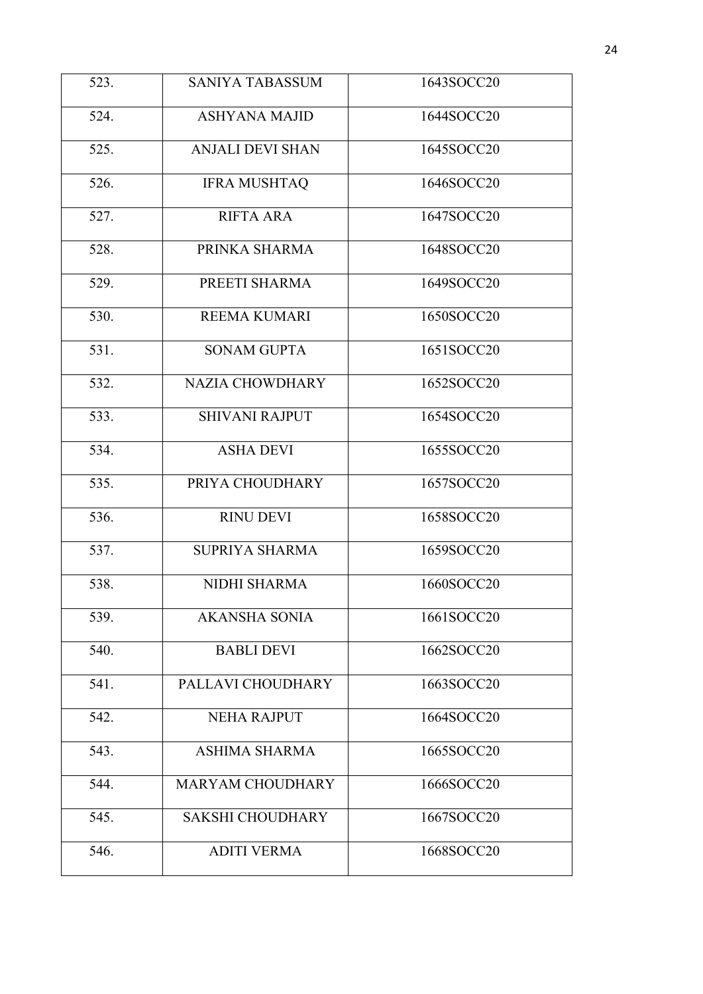| 523. | <b>SANIYA TABASSUM</b>  | 1643SOCC20 |
|------|-------------------------|------------|
| 524. | <b>ASHYANA MAJID</b>    | 1644SOCC20 |
| 525. | <b>ANJALI DEVI SHAN</b> | 1645SOCC20 |
| 526. | <b>IFRA MUSHTAQ</b>     | 1646SOCC20 |
| 527. | <b>RIFTA ARA</b>        | 1647SOCC20 |
| 528. | PRINKA SHARMA           | 1648SOCC20 |
| 529. | PREETI SHARMA           | 1649SOCC20 |
| 530. | <b>REEMA KUMARI</b>     | 1650SOCC20 |
| 531. | <b>SONAM GUPTA</b>      | 1651SOCC20 |
| 532. | <b>NAZIA CHOWDHARY</b>  | 1652SOCC20 |
| 533. | <b>SHIVANI RAJPUT</b>   | 1654SOCC20 |
| 534. | <b>ASHA DEVI</b>        | 1655SOCC20 |
| 535. | PRIYA CHOUDHARY         | 1657SOCC20 |
| 536. | <b>RINU DEVI</b>        | 1658SOCC20 |
| 537. | <b>SUPRIYA SHARMA</b>   | 1659SOCC20 |
| 538. | <b>NIDHI SHARMA</b>     | 1660SOCC20 |
| 539. | <b>AKANSHA SONIA</b>    | 1661SOCC20 |
| 540. | <b>BABLI DEVI</b>       | 1662SOCC20 |
| 541. | PALLAVI CHOUDHARY       | 1663SOCC20 |
| 542. | <b>NEHA RAJPUT</b>      | 1664SOCC20 |
| 543. | <b>ASHIMA SHARMA</b>    | 1665SOCC20 |
| 544. | <b>MARYAM CHOUDHARY</b> | 1666SOCC20 |
| 545. | <b>SAKSHI CHOUDHARY</b> | 1667SOCC20 |
| 546. | <b>ADITI VERMA</b>      | 1668SOCC20 |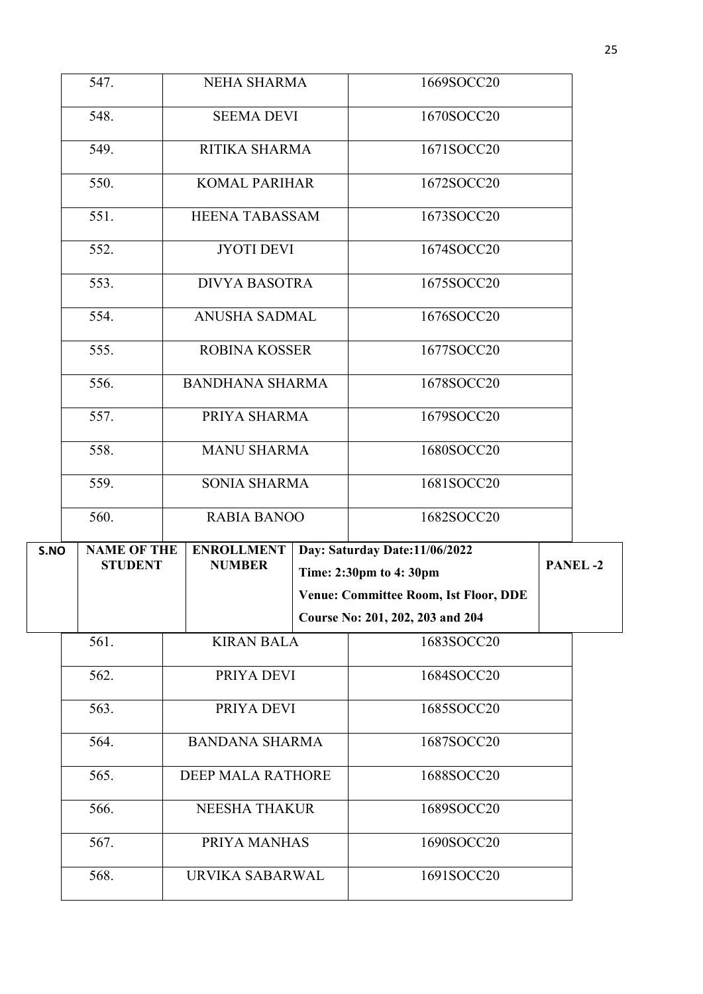|      | 547.                                 | <b>NEHA SHARMA</b>                 | 1669SOCC20                                              |                |
|------|--------------------------------------|------------------------------------|---------------------------------------------------------|----------------|
|      | 548.                                 | <b>SEEMA DEVI</b>                  | 1670SOCC20                                              |                |
|      | 549.                                 | RITIKA SHARMA                      | 1671SOCC20                                              |                |
|      | 550.                                 | <b>KOMAL PARIHAR</b>               | 1672SOCC20                                              |                |
|      | 551.                                 | <b>HEENA TABASSAM</b>              | 1673SOCC20                                              |                |
|      | 552.                                 | <b>JYOTI DEVI</b>                  | 1674SOCC20                                              |                |
|      | 553.                                 | <b>DIVYA BASOTRA</b>               | 1675SOCC20                                              |                |
|      | 554.                                 | <b>ANUSHA SADMAL</b>               | 1676SOCC20                                              |                |
|      | 555.                                 | <b>ROBINA KOSSER</b>               | 1677SOCC20                                              |                |
|      | 556.                                 | <b>BANDHANA SHARMA</b>             | 1678SOCC20                                              |                |
|      | 557.                                 | PRIYA SHARMA                       | 1679SOCC20                                              |                |
|      | 558.                                 | <b>MANU SHARMA</b>                 | 1680SOCC20                                              |                |
|      | 559.                                 | <b>SONIA SHARMA</b>                | 1681SOCC20                                              |                |
|      | 560.                                 | <b>RABIA BANOO</b>                 | 1682SOCC20                                              |                |
|      |                                      |                                    |                                                         |                |
|      |                                      |                                    |                                                         |                |
| S.NO | <b>NAME OF THE</b><br><b>STUDENT</b> | <b>ENROLLMENT</b><br><b>NUMBER</b> | Day: Saturday Date:11/06/2022<br>Time: 2:30pm to 4:30pm | <b>PANEL-2</b> |
|      |                                      |                                    | <b>Venue: Committee Room, Ist Floor, DDE</b>            |                |
|      |                                      |                                    | Course No: 201, 202, 203 and 204                        |                |
|      | 561.                                 | <b>KIRAN BALA</b>                  | 1683SOCC20                                              |                |
|      | 562.                                 | PRIYA DEVI                         | 1684SOCC20                                              |                |
|      | 563.                                 | PRIYA DEVI                         | 1685SOCC20                                              |                |
|      | 564.                                 | <b>BANDANA SHARMA</b>              | 1687SOCC20                                              |                |
|      | 565.                                 | DEEP MALA RATHORE                  | 1688SOCC20                                              |                |
|      | 566.                                 | <b>NEESHA THAKUR</b>               | 1689SOCC20                                              |                |
|      | 567.                                 | PRIYA MANHAS                       | 1690SOCC20                                              |                |
|      | 568.                                 | URVIKA SABARWAL                    | 1691SOCC20                                              |                |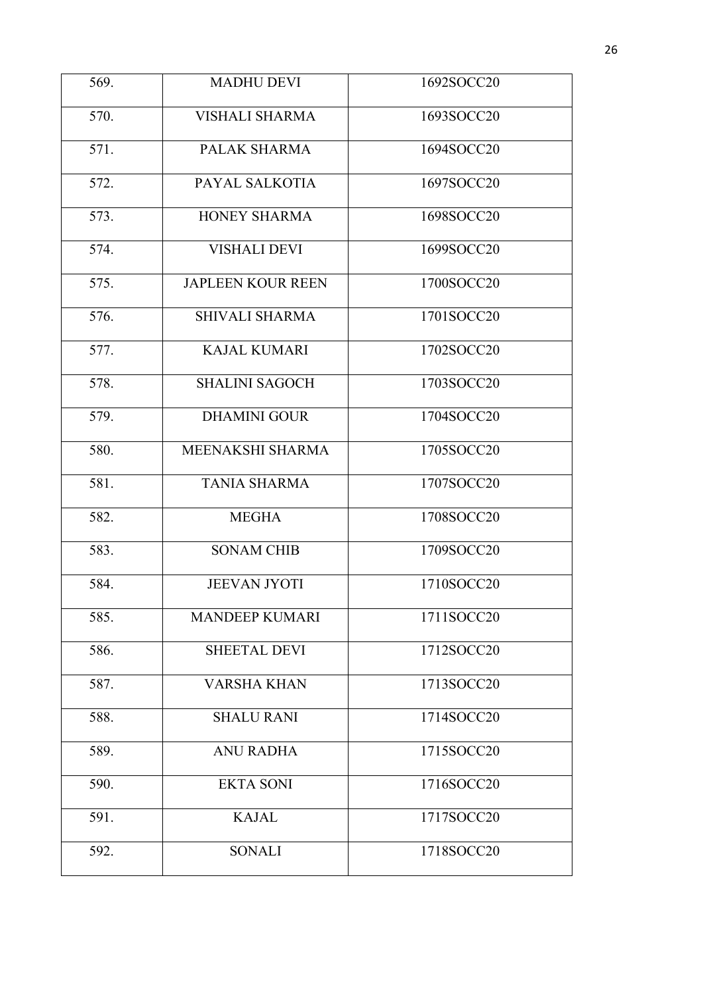| 569. | <b>MADHU DEVI</b>        | 1692SOCC20 |
|------|--------------------------|------------|
| 570. | <b>VISHALI SHARMA</b>    | 1693SOCC20 |
| 571. | PALAK SHARMA             | 1694SOCC20 |
| 572. | PAYAL SALKOTIA           | 1697SOCC20 |
| 573. | HONEY SHARMA             | 1698SOCC20 |
| 574. | <b>VISHALI DEVI</b>      | 1699SOCC20 |
| 575. | <b>JAPLEEN KOUR REEN</b> | 1700SOCC20 |
| 576. | <b>SHIVALI SHARMA</b>    | 1701SOCC20 |
| 577. | <b>KAJAL KUMARI</b>      | 1702SOCC20 |
| 578. | <b>SHALINI SAGOCH</b>    | 1703SOCC20 |
| 579. | <b>DHAMINI GOUR</b>      | 1704SOCC20 |
| 580. | MEENAKSHI SHARMA         | 1705SOCC20 |
| 581. | <b>TANIA SHARMA</b>      | 1707SOCC20 |
| 582. | <b>MEGHA</b>             | 1708SOCC20 |
| 583. | <b>SONAM CHIB</b>        | 1709SOCC20 |
| 584. | <b>JEEVAN JYOTI</b>      | 1710SOCC20 |
| 585. | <b>MANDEEP KUMARI</b>    | 1711SOCC20 |
| 586. | <b>SHEETAL DEVI</b>      | 1712SOCC20 |
| 587. | <b>VARSHA KHAN</b>       | 1713SOCC20 |
| 588. | <b>SHALU RANI</b>        | 1714SOCC20 |
| 589. | <b>ANU RADHA</b>         | 1715SOCC20 |
| 590. | <b>EKTA SONI</b>         | 1716SOCC20 |
| 591. | <b>KAJAL</b>             | 1717SOCC20 |
| 592. | <b>SONALI</b>            | 1718SOCC20 |
|      |                          |            |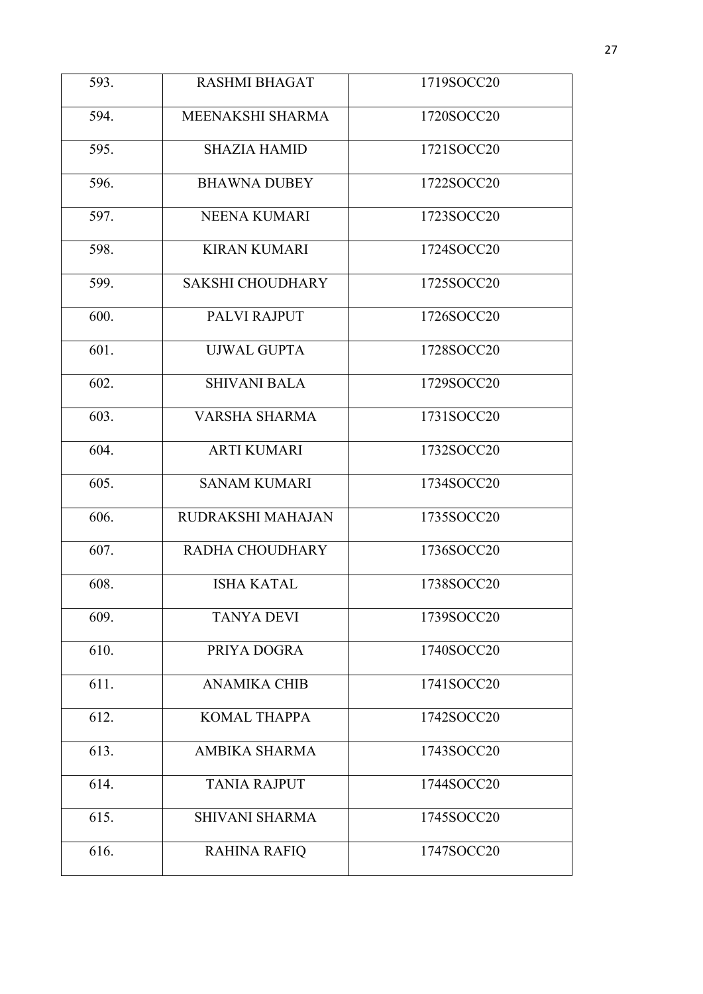| 593. | <b>RASHMI BHAGAT</b>    | 1719SOCC20 |
|------|-------------------------|------------|
| 594. | MEENAKSHI SHARMA        | 1720SOCC20 |
| 595. | <b>SHAZIA HAMID</b>     | 1721SOCC20 |
| 596. | <b>BHAWNA DUBEY</b>     | 1722SOCC20 |
| 597. | <b>NEENA KUMARI</b>     | 1723SOCC20 |
| 598. | <b>KIRAN KUMARI</b>     | 1724SOCC20 |
| 599. | <b>SAKSHI CHOUDHARY</b> | 1725SOCC20 |
| 600. | PALVI RAJPUT            | 1726SOCC20 |
| 601. | <b>UJWAL GUPTA</b>      | 1728SOCC20 |
| 602. | <b>SHIVANI BALA</b>     | 1729SOCC20 |
| 603. | <b>VARSHA SHARMA</b>    | 1731SOCC20 |
| 604. | <b>ARTI KUMARI</b>      | 1732SOCC20 |
| 605. | <b>SANAM KUMARI</b>     | 1734SOCC20 |
| 606. | RUDRAKSHI MAHAJAN       | 1735SOCC20 |
| 607. | RADHA CHOUDHARY         | 1736SOCC20 |
| 608. | <b>ISHA KATAL</b>       | 1738SOCC20 |
| 609. | <b>TANYA DEVI</b>       | 1739SOCC20 |
| 610. | PRIYA DOGRA             | 1740SOCC20 |
| 611. | <b>ANAMIKA CHIB</b>     | 1741SOCC20 |
| 612. | <b>KOMAL THAPPA</b>     | 1742SOCC20 |
| 613. | AMBIKA SHARMA           | 1743SOCC20 |
| 614. | <b>TANIA RAJPUT</b>     | 1744SOCC20 |
| 615. | <b>SHIVANI SHARMA</b>   | 1745SOCC20 |
| 616. | <b>RAHINA RAFIQ</b>     | 1747SOCC20 |
|      |                         |            |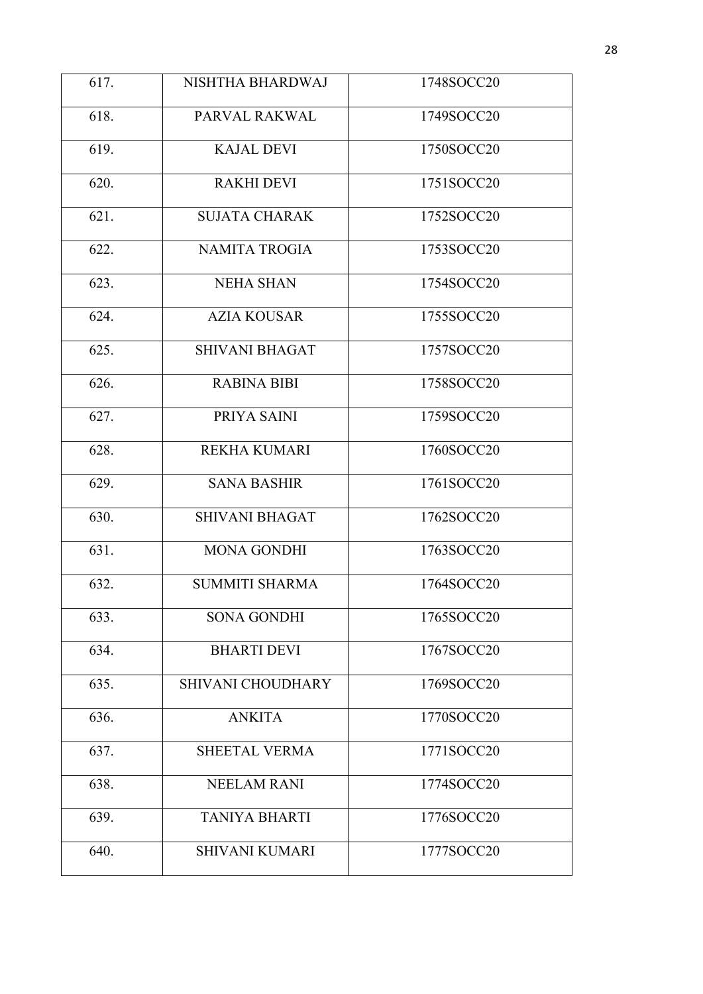| 617. | NISHTHA BHARDWAJ      | 1748SOCC20 |
|------|-----------------------|------------|
| 618. | PARVAL RAKWAL         | 1749SOCC20 |
| 619. | <b>KAJAL DEVI</b>     | 1750SOCC20 |
| 620. | <b>RAKHI DEVI</b>     | 1751SOCC20 |
| 621. | <b>SUJATA CHARAK</b>  | 1752SOCC20 |
| 622. | <b>NAMITA TROGIA</b>  | 1753SOCC20 |
| 623. | <b>NEHA SHAN</b>      | 1754SOCC20 |
| 624. | <b>AZIA KOUSAR</b>    | 1755SOCC20 |
| 625. | <b>SHIVANI BHAGAT</b> | 1757SOCC20 |
| 626. | <b>RABINA BIBI</b>    | 1758SOCC20 |
| 627. | PRIYA SAINI           | 1759SOCC20 |
| 628. | <b>REKHA KUMARI</b>   | 1760SOCC20 |
| 629. | <b>SANA BASHIR</b>    | 1761SOCC20 |
| 630. | <b>SHIVANI BHAGAT</b> | 1762SOCC20 |
| 631. | <b>MONA GONDHI</b>    | 1763SOCC20 |
| 632. | <b>SUMMITI SHARMA</b> | 1764SOCC20 |
| 633. | <b>SONA GONDHI</b>    | 1765SOCC20 |
| 634. | <b>BHARTI DEVI</b>    | 1767SOCC20 |
| 635. | SHIVANI CHOUDHARY     | 1769SOCC20 |
| 636. | <b>ANKITA</b>         | 1770SOCC20 |
| 637. | <b>SHEETAL VERMA</b>  | 1771SOCC20 |
| 638. | <b>NEELAM RANI</b>    | 1774SOCC20 |
| 639. | <b>TANIYA BHARTI</b>  | 1776SOCC20 |
| 640. | <b>SHIVANI KUMARI</b> | 1777SOCC20 |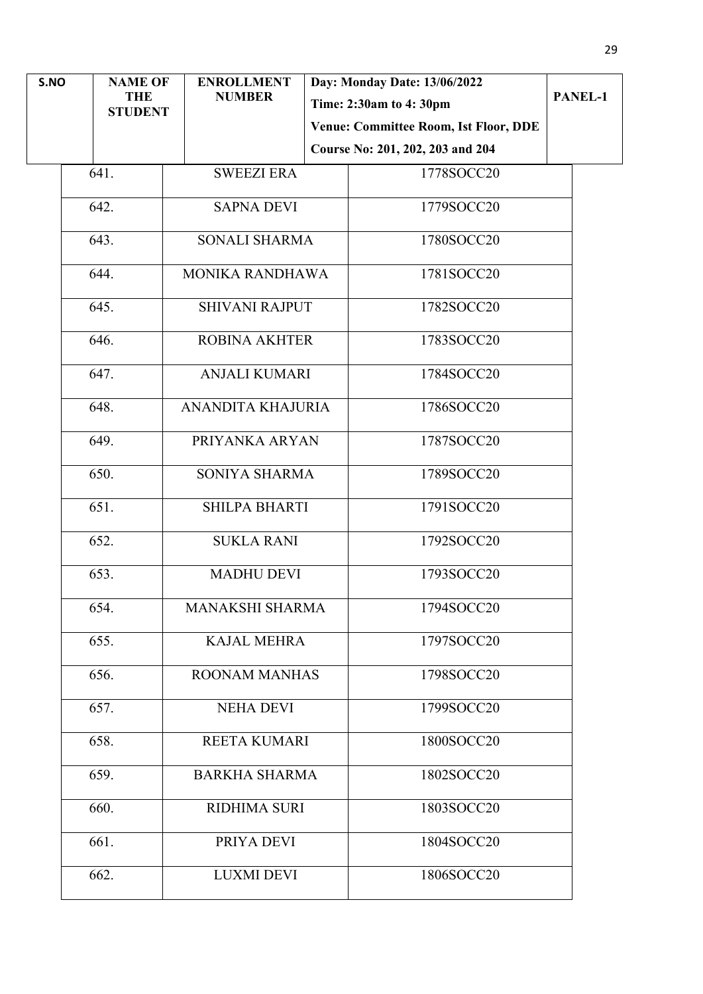| S.NO | <b>NAME OF</b>               | <b>ENROLLMENT</b>      | Day: Monday Date: 13/06/2022                 |         |
|------|------------------------------|------------------------|----------------------------------------------|---------|
|      | <b>THE</b><br><b>STUDENT</b> | <b>NUMBER</b>          | Time: 2:30am to 4:30pm                       | PANEL-1 |
|      |                              |                        | <b>Venue: Committee Room, Ist Floor, DDE</b> |         |
|      |                              |                        | Course No: 201, 202, 203 and 204             |         |
|      | 641.                         | <b>SWEEZI ERA</b>      | 1778SOCC20                                   |         |
|      | 642.                         | <b>SAPNA DEVI</b>      | 1779SOCC20                                   |         |
|      | 643.                         | <b>SONALI SHARMA</b>   | 1780SOCC20                                   |         |
|      | 644.                         | MONIKA RANDHAWA        | 1781SOCC20                                   |         |
|      | 645.                         | <b>SHIVANI RAJPUT</b>  | 1782SOCC20                                   |         |
|      | 646.                         | <b>ROBINA AKHTER</b>   | 1783SOCC20                                   |         |
|      | 647.                         | <b>ANJALI KUMARI</b>   | 1784SOCC20                                   |         |
|      | 648.                         | ANANDITA KHAJURIA      | 1786SOCC20                                   |         |
|      | 649.                         | PRIYANKA ARYAN         | 1787SOCC20                                   |         |
|      | 650.                         | SONIYA SHARMA          | 1789SOCC20                                   |         |
|      | 651.                         | SHILPA BHARTI          | 1791SOCC20                                   |         |
|      | 652.                         | <b>SUKLA RANI</b>      | 1792SOCC20                                   |         |
|      | 653.                         | <b>MADHU DEVI</b>      | 1793SOCC20                                   |         |
|      | 654.                         | <b>MANAKSHI SHARMA</b> | 1794SOCC20                                   |         |
|      | 655.                         | <b>KAJAL MEHRA</b>     | 1797SOCC20                                   |         |
|      | 656.                         | <b>ROONAM MANHAS</b>   | 1798SOCC20                                   |         |
|      | 657.                         | <b>NEHA DEVI</b>       | 1799SOCC20                                   |         |
|      | 658.                         | <b>REETA KUMARI</b>    | 1800SOCC20                                   |         |
|      | 659.                         | <b>BARKHA SHARMA</b>   | 1802SOCC20                                   |         |
|      | 660.                         | <b>RIDHIMA SURI</b>    | 1803SOCC20                                   |         |
|      | 661.                         | PRIYA DEVI             | 1804SOCC20                                   |         |
|      | 662.                         | <b>LUXMI DEVI</b>      | 1806SOCC20                                   |         |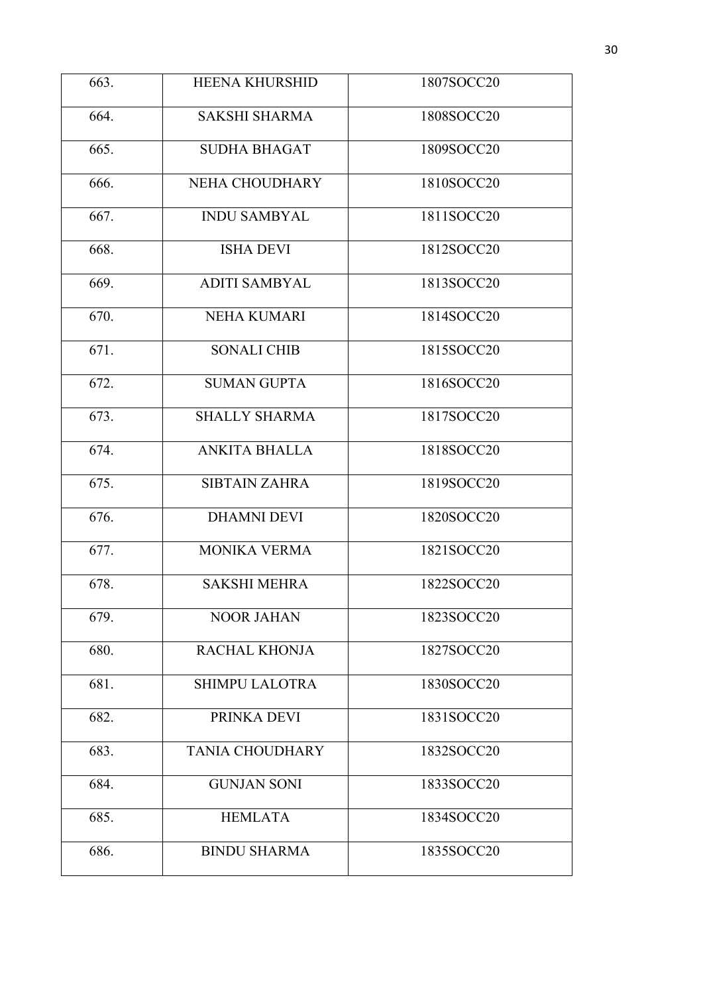| 663. | <b>HEENA KHURSHID</b>  | 1807SOCC20 |
|------|------------------------|------------|
| 664. | <b>SAKSHI SHARMA</b>   | 1808SOCC20 |
| 665. | <b>SUDHA BHAGAT</b>    | 1809SOCC20 |
| 666. | NEHA CHOUDHARY         | 1810SOCC20 |
| 667. | <b>INDU SAMBYAL</b>    | 1811SOCC20 |
| 668. | <b>ISHA DEVI</b>       | 1812SOCC20 |
| 669. | <b>ADITI SAMBYAL</b>   | 1813SOCC20 |
| 670. | <b>NEHA KUMARI</b>     | 1814SOCC20 |
| 671. | <b>SONALI CHIB</b>     | 1815SOCC20 |
| 672. | <b>SUMAN GUPTA</b>     | 1816SOCC20 |
| 673. | <b>SHALLY SHARMA</b>   | 1817SOCC20 |
| 674. | <b>ANKITA BHALLA</b>   | 1818SOCC20 |
| 675. | <b>SIBTAIN ZAHRA</b>   | 1819SOCC20 |
| 676. | <b>DHAMNI DEVI</b>     | 1820SOCC20 |
| 677. | <b>MONIKA VERMA</b>    | 1821SOCC20 |
| 678. | <b>SAKSHI MEHRA</b>    | 1822SOCC20 |
| 679. | <b>NOOR JAHAN</b>      | 1823SOCC20 |
| 680. | <b>RACHAL KHONJA</b>   | 1827SOCC20 |
| 681. | <b>SHIMPU LALOTRA</b>  | 1830SOCC20 |
| 682. | PRINKA DEVI            | 1831SOCC20 |
| 683. | <b>TANIA CHOUDHARY</b> | 1832SOCC20 |
| 684. | <b>GUNJAN SONI</b>     | 1833SOCC20 |
| 685. | <b>HEMLATA</b>         | 1834SOCC20 |
| 686. | <b>BINDU SHARMA</b>    | 1835SOCC20 |
|      |                        |            |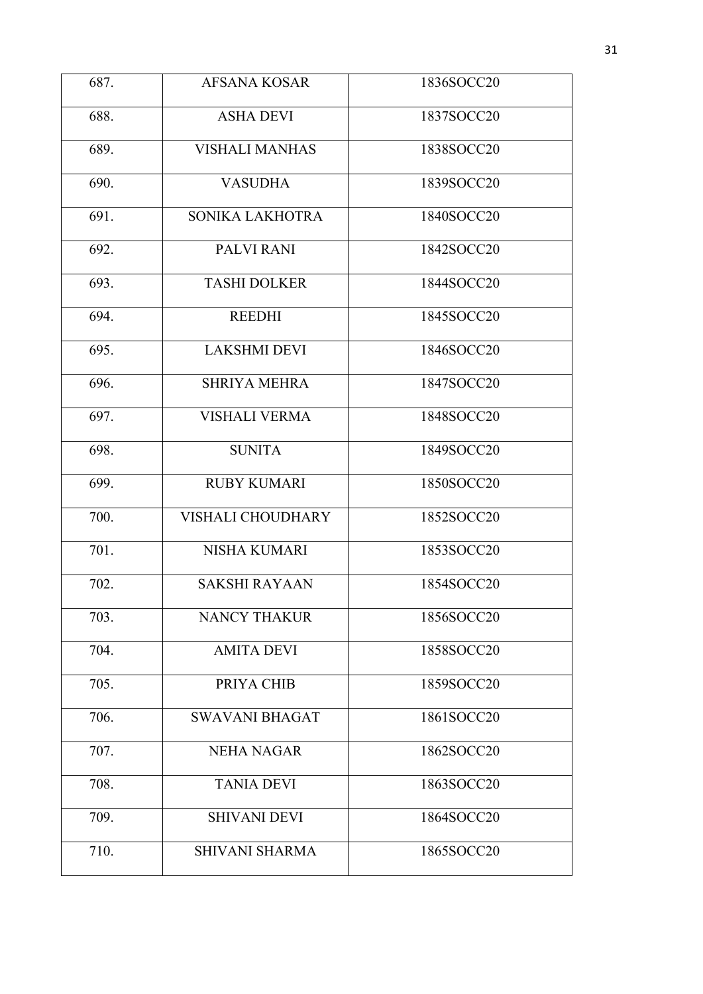| 687. | <b>AFSANA KOSAR</b>      | 1836SOCC20 |
|------|--------------------------|------------|
| 688. | <b>ASHA DEVI</b>         | 1837SOCC20 |
| 689. | <b>VISHALI MANHAS</b>    | 1838SOCC20 |
| 690. | <b>VASUDHA</b>           | 1839SOCC20 |
| 691. | SONIKA LAKHOTRA          | 1840SOCC20 |
| 692. | PALVI RANI               | 1842SOCC20 |
| 693. | <b>TASHI DOLKER</b>      | 1844SOCC20 |
| 694. | <b>REEDHI</b>            | 1845SOCC20 |
| 695. | <b>LAKSHMI DEVI</b>      | 1846SOCC20 |
| 696. | <b>SHRIYA MEHRA</b>      | 1847SOCC20 |
| 697. | <b>VISHALI VERMA</b>     | 1848SOCC20 |
| 698. | <b>SUNITA</b>            | 1849SOCC20 |
| 699. | <b>RUBY KUMARI</b>       | 1850SOCC20 |
| 700. | <b>VISHALI CHOUDHARY</b> | 1852SOCC20 |
| 701. | <b>NISHA KUMARI</b>      | 1853SOCC20 |
| 702. | <b>SAKSHI RAYAAN</b>     | 1854SOCC20 |
| 703. | <b>NANCY THAKUR</b>      | 1856SOCC20 |
| 704. | <b>AMITA DEVI</b>        | 1858SOCC20 |
| 705. | PRIYA CHIB               | 1859SOCC20 |
| 706. | <b>SWAVANI BHAGAT</b>    | 1861SOCC20 |
| 707. | <b>NEHA NAGAR</b>        | 1862SOCC20 |
| 708. | <b>TANIA DEVI</b>        | 1863SOCC20 |
| 709. | <b>SHIVANI DEVI</b>      | 1864SOCC20 |
| 710. | <b>SHIVANI SHARMA</b>    | 1865SOCC20 |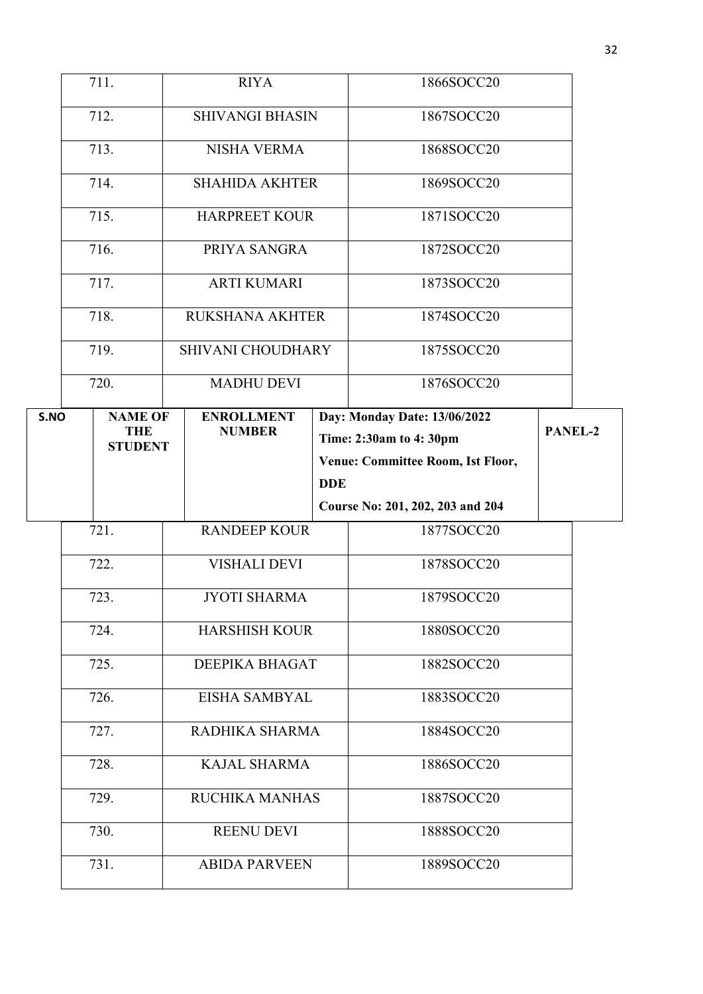|                            | 711.                         | <b>RIYA</b>                        |            | 1866SOCC20                                                  |         |
|----------------------------|------------------------------|------------------------------------|------------|-------------------------------------------------------------|---------|
|                            | 712.                         | <b>SHIVANGI BHASIN</b>             |            | 1867SOCC20                                                  |         |
| 713.<br><b>NISHA VERMA</b> |                              | 1868SOCC20                         |            |                                                             |         |
|                            | 714.                         | <b>SHAHIDA AKHTER</b>              |            | 1869SOCC20                                                  |         |
|                            | 715.                         | <b>HARPREET KOUR</b>               |            | 1871SOCC20                                                  |         |
|                            | 716.                         | PRIYA SANGRA                       |            | 1872SOCC20                                                  |         |
|                            | 717.                         | <b>ARTI KUMARI</b>                 |            | 1873SOCC20                                                  |         |
|                            | 718.                         | <b>RUKSHANA AKHTER</b>             |            | 1874SOCC20                                                  |         |
|                            | 719.                         | SHIVANI CHOUDHARY                  |            | 1875SOCC20                                                  |         |
|                            | 720.                         | <b>MADHU DEVI</b>                  |            | 1876SOCC20                                                  |         |
| S.NO                       | <b>NAME OF</b><br><b>THE</b> | <b>ENROLLMENT</b><br><b>NUMBER</b> |            | Day: Monday Date: 13/06/2022                                | PANEL-2 |
|                            | <b>STUDENT</b>               |                                    |            | Time: 2:30am to 4:30pm<br>Venue: Committee Room, Ist Floor, |         |
|                            |                              |                                    | <b>DDE</b> |                                                             |         |
|                            |                              |                                    |            | Course No: 201, 202, 203 and 204                            |         |
|                            | 721.                         | <b>RANDEEP KOUR</b>                |            | 1877SOCC20                                                  |         |
|                            | 722.                         | <b>VISHALI DEVI</b>                |            | 1878SOCC20                                                  |         |
|                            | 723.                         | <b>JYOTI SHARMA</b>                |            | 1879SOCC20                                                  |         |
|                            | 724.                         | <b>HARSHISH KOUR</b>               |            | 1880SOCC20                                                  |         |
|                            | 725.                         | DEEPIKA BHAGAT                     |            | 1882SOCC20                                                  |         |
|                            | 726.                         | EISHA SAMBYAL                      |            | 1883SOCC20                                                  |         |
|                            | 727.                         | RADHIKA SHARMA                     |            | 1884SOCC20                                                  |         |
|                            |                              |                                    |            |                                                             |         |
|                            | 728.                         | <b>KAJAL SHARMA</b>                |            | 1886SOCC20                                                  |         |
|                            | 729.                         | RUCHIKA MANHAS                     |            | 1887SOCC20                                                  |         |
|                            | 730.                         | <b>REENU DEVI</b>                  |            | 1888SOCC20                                                  |         |
|                            | 731.                         | <b>ABIDA PARVEEN</b>               |            | 1889SOCC20                                                  |         |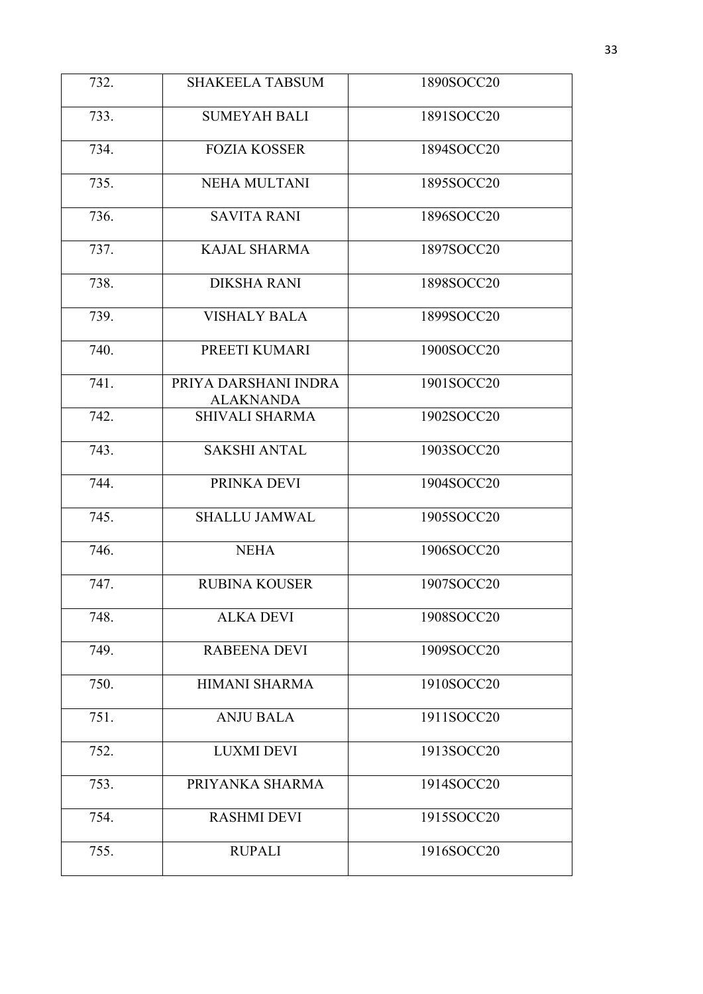| 732. | <b>SHAKEELA TABSUM</b>                   | 1890SOCC20 |
|------|------------------------------------------|------------|
| 733. | <b>SUMEYAH BALI</b>                      | 1891SOCC20 |
| 734. | <b>FOZIA KOSSER</b>                      | 1894SOCC20 |
| 735. | <b>NEHA MULTANI</b>                      | 1895SOCC20 |
| 736. | <b>SAVITA RANI</b>                       | 1896SOCC20 |
| 737. | <b>KAJAL SHARMA</b>                      | 1897SOCC20 |
| 738. | <b>DIKSHA RANI</b>                       | 1898SOCC20 |
| 739. | <b>VISHALY BALA</b>                      | 1899SOCC20 |
| 740. | PREETI KUMARI                            | 1900SOCC20 |
| 741. | PRIYA DARSHANI INDRA<br><b>ALAKNANDA</b> | 1901SOCC20 |
| 742. | <b>SHIVALI SHARMA</b>                    | 1902SOCC20 |
| 743. | <b>SAKSHI ANTAL</b>                      | 1903SOCC20 |
| 744. | PRINKA DEVI                              | 1904SOCC20 |
| 745. | <b>SHALLU JAMWAL</b>                     | 1905SOCC20 |
| 746. | <b>NEHA</b>                              | 1906SOCC20 |
| 747. | <b>RUBINA KOUSER</b>                     | 1907SOCC20 |
| 748. | <b>ALKA DEVI</b>                         | 1908SOCC20 |
| 749. | <b>RABEENA DEVI</b>                      | 1909SOCC20 |
| 750. | <b>HIMANI SHARMA</b>                     | 1910SOCC20 |
| 751. | <b>ANJU BALA</b>                         | 1911SOCC20 |
| 752. | <b>LUXMI DEVI</b>                        | 1913SOCC20 |
| 753. | PRIYANKA SHARMA                          | 1914SOCC20 |
| 754. | <b>RASHMI DEVI</b>                       | 1915SOCC20 |
| 755. | <b>RUPALI</b>                            | 1916SOCC20 |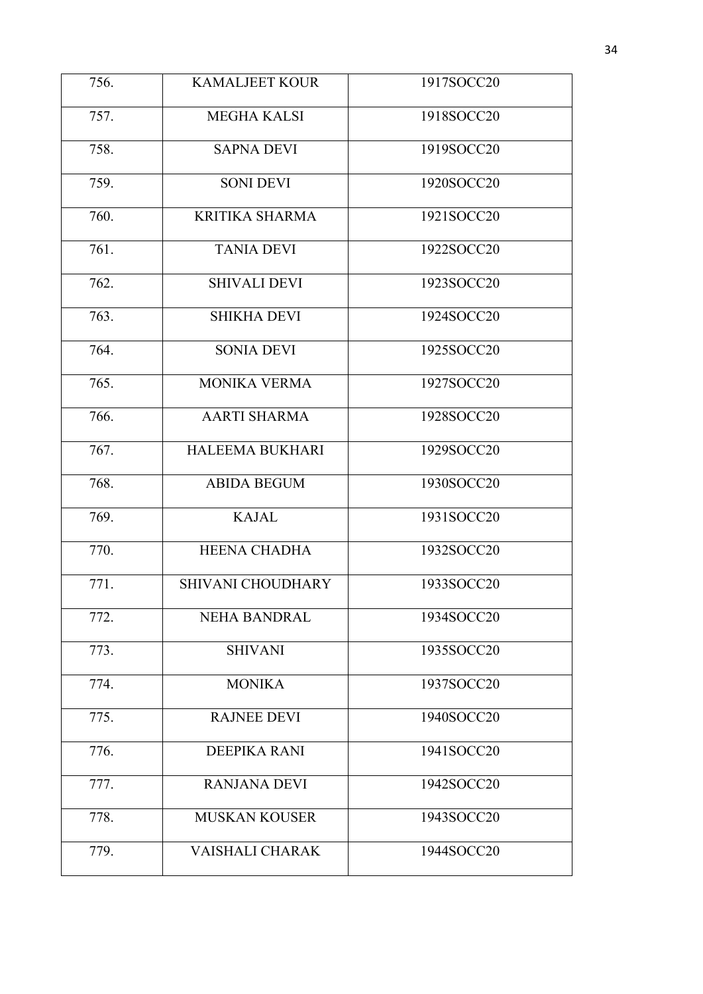| 756. | <b>KAMALJEET KOUR</b>    | 1917SOCC20 |
|------|--------------------------|------------|
|      |                          |            |
| 757. | <b>MEGHA KALSI</b>       | 1918SOCC20 |
| 758. | <b>SAPNA DEVI</b>        | 1919SOCC20 |
| 759. | <b>SONI DEVI</b>         | 1920SOCC20 |
| 760. | <b>KRITIKA SHARMA</b>    | 1921SOCC20 |
| 761. | <b>TANIA DEVI</b>        | 1922SOCC20 |
| 762. | <b>SHIVALI DEVI</b>      | 1923SOCC20 |
| 763. | <b>SHIKHA DEVI</b>       | 1924SOCC20 |
| 764. | <b>SONIA DEVI</b>        | 1925SOCC20 |
| 765. | <b>MONIKA VERMA</b>      | 1927SOCC20 |
| 766. | <b>AARTI SHARMA</b>      | 1928SOCC20 |
| 767. | <b>HALEEMA BUKHARI</b>   | 1929SOCC20 |
| 768. | <b>ABIDA BEGUM</b>       | 1930SOCC20 |
| 769. | <b>KAJAL</b>             | 1931SOCC20 |
| 770. | <b>HEENA CHADHA</b>      | 1932SOCC20 |
| 771. | <b>SHIVANI CHOUDHARY</b> | 1933SOCC20 |
| 772. | <b>NEHA BANDRAL</b>      | 1934SOCC20 |
| 773. | <b>SHIVANI</b>           | 1935SOCC20 |
| 774. | <b>MONIKA</b>            | 1937SOCC20 |
| 775. | <b>RAJNEE DEVI</b>       | 1940SOCC20 |
| 776. | <b>DEEPIKA RANI</b>      | 1941SOCC20 |
| 777. | <b>RANJANA DEVI</b>      | 1942SOCC20 |
| 778. | <b>MUSKAN KOUSER</b>     | 1943SOCC20 |
| 779. | <b>VAISHALI CHARAK</b>   | 1944SOCC20 |
|      |                          |            |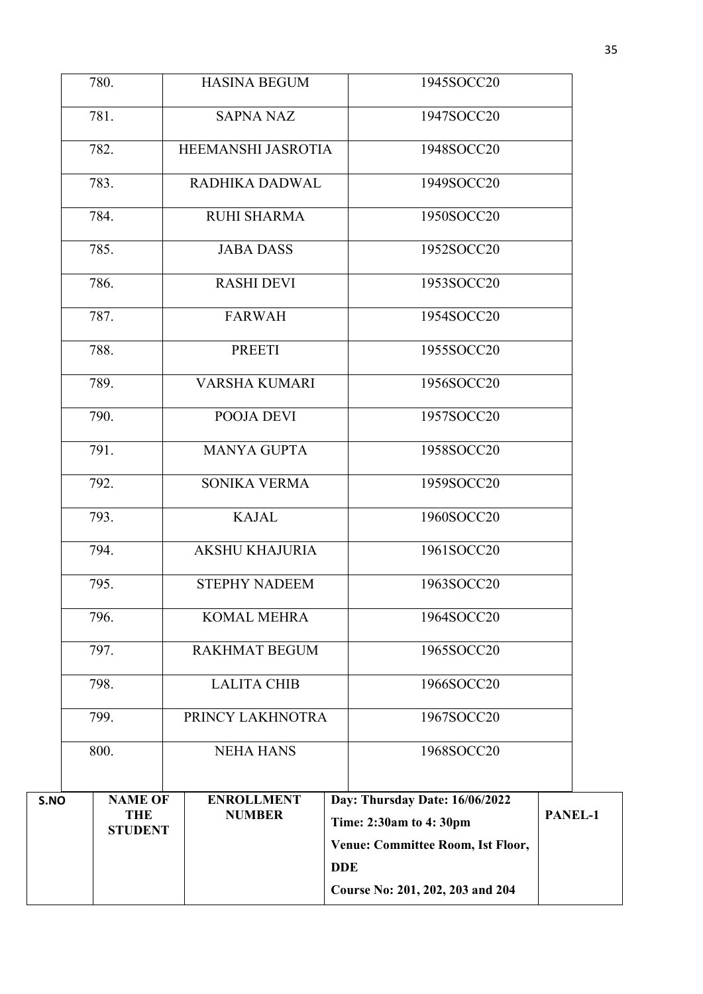|      |                                                |                                    | <b>DDE</b> | Course No: 201, 202, 203 and 204                                                              |         |
|------|------------------------------------------------|------------------------------------|------------|-----------------------------------------------------------------------------------------------|---------|
| S.NO | <b>NAME OF</b><br><b>THE</b><br><b>STUDENT</b> | <b>ENROLLMENT</b><br><b>NUMBER</b> |            | Day: Thursday Date: 16/06/2022<br>Time: 2:30am to 4:30pm<br>Venue: Committee Room, Ist Floor, | PANEL-1 |
|      | 800.                                           | <b>NEHA HANS</b>                   |            | 1968SOCC20                                                                                    |         |
|      | 799.                                           | PRINCY LAKHNOTRA                   |            | 1967SOCC20                                                                                    |         |
|      | 798.                                           | <b>LALITA CHIB</b>                 |            | 1966SOCC20                                                                                    |         |
|      | 797.                                           | <b>RAKHMAT BEGUM</b>               |            | 1965SOCC20                                                                                    |         |
|      | 796.                                           | <b>KOMAL MEHRA</b>                 |            | 1964SOCC20                                                                                    |         |
|      | 795.                                           | <b>STEPHY NADEEM</b>               |            | 1963SOCC20                                                                                    |         |
|      | 794.                                           | <b>AKSHU KHAJURIA</b>              |            | 1961SOCC20                                                                                    |         |
|      | 793.                                           | <b>KAJAL</b>                       |            | 1960SOCC20                                                                                    |         |
|      | 792.                                           | SONIKA VERMA                       |            | 1959SOCC20                                                                                    |         |
|      | 791.                                           | <b>MANYA GUPTA</b>                 |            | 1958SOCC20                                                                                    |         |
|      | 790.                                           | POOJA DEVI                         |            | 1957SOCC20                                                                                    |         |
|      | 789.                                           | <b>VARSHA KUMARI</b>               |            | 1956SOCC20                                                                                    |         |
|      | 788.                                           | <b>PREETI</b>                      |            | 1955SOCC20                                                                                    |         |
|      | 787.                                           | <b>FARWAH</b>                      |            | 1954SOCC20                                                                                    |         |
|      | 786.                                           | <b>RASHI DEVI</b>                  |            | 1953SOCC20                                                                                    |         |
|      | 785.                                           | <b>JABA DASS</b>                   |            | 1952SOCC20                                                                                    |         |
|      | 784.                                           | <b>RUHI SHARMA</b>                 |            | 1950SOCC20                                                                                    |         |
|      | 783.                                           | RADHIKA DADWAL                     |            | 1949SOCC20                                                                                    |         |
|      | 782.                                           | HEEMANSHI JASROTIA                 |            | 1948SOCC20                                                                                    |         |
|      | 781.                                           | <b>SAPNA NAZ</b>                   |            | 1947SOCC20                                                                                    |         |
|      | 780.                                           | <b>HASINA BEGUM</b>                |            | 1945SOCC20                                                                                    |         |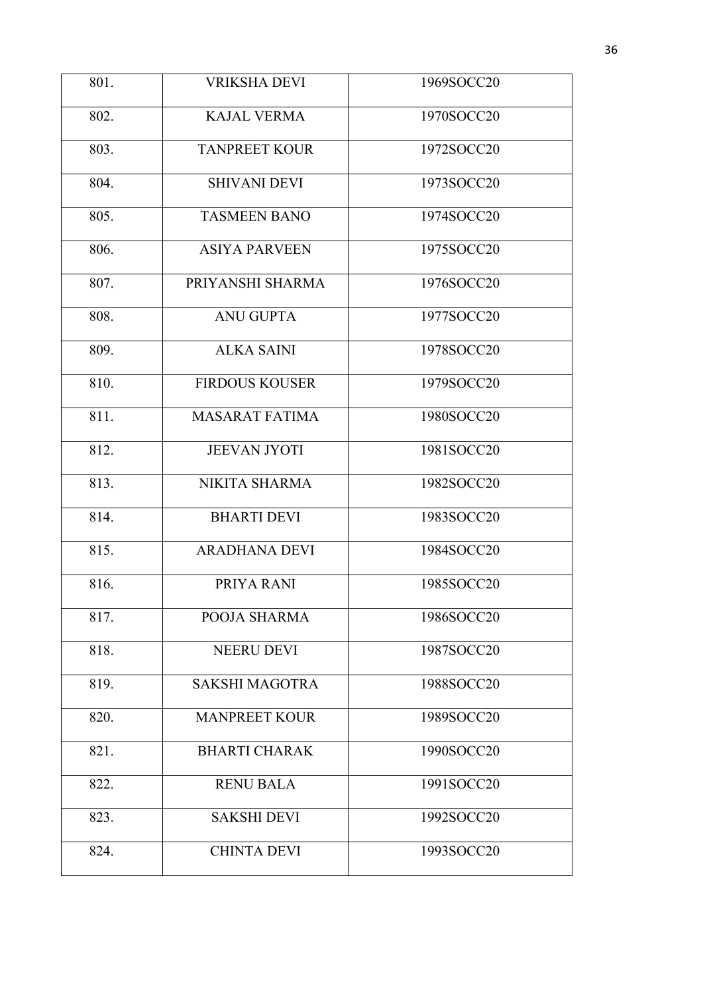| 801. | <b>VRIKSHA DEVI</b>   | 1969SOCC20 |
|------|-----------------------|------------|
| 802. | <b>KAJAL VERMA</b>    | 1970SOCC20 |
| 803. | <b>TANPREET KOUR</b>  | 1972SOCC20 |
| 804. | <b>SHIVANI DEVI</b>   | 1973SOCC20 |
| 805. | <b>TASMEEN BANO</b>   | 1974SOCC20 |
| 806. | <b>ASIYA PARVEEN</b>  | 1975SOCC20 |
| 807. | PRIYANSHI SHARMA      | 1976SOCC20 |
| 808. | <b>ANU GUPTA</b>      | 1977SOCC20 |
| 809. | <b>ALKA SAINI</b>     | 1978SOCC20 |
| 810. | <b>FIRDOUS KOUSER</b> | 1979SOCC20 |
| 811. | <b>MASARAT FATIMA</b> | 1980SOCC20 |
| 812. | <b>JEEVAN JYOTI</b>   | 1981SOCC20 |
| 813. | NIKITA SHARMA         | 1982SOCC20 |
| 814. | <b>BHARTI DEVI</b>    | 1983SOCC20 |
| 815. | <b>ARADHANA DEVI</b>  | 1984SOCC20 |
| 816. | PRIYA RANI            | 1985SOCC20 |
| 817. | POOJA SHARMA          | 1986SOCC20 |
| 818. | <b>NEERU DEVI</b>     | 1987SOCC20 |
| 819. | <b>SAKSHI MAGOTRA</b> | 1988SOCC20 |
| 820. | <b>MANPREET KOUR</b>  | 1989SOCC20 |
| 821. | <b>BHARTI CHARAK</b>  | 1990SOCC20 |
| 822. | <b>RENU BALA</b>      | 1991SOCC20 |
| 823. | <b>SAKSHI DEVI</b>    | 1992SOCC20 |
| 824. | <b>CHINTA DEVI</b>    | 1993SOCC20 |
|      |                       |            |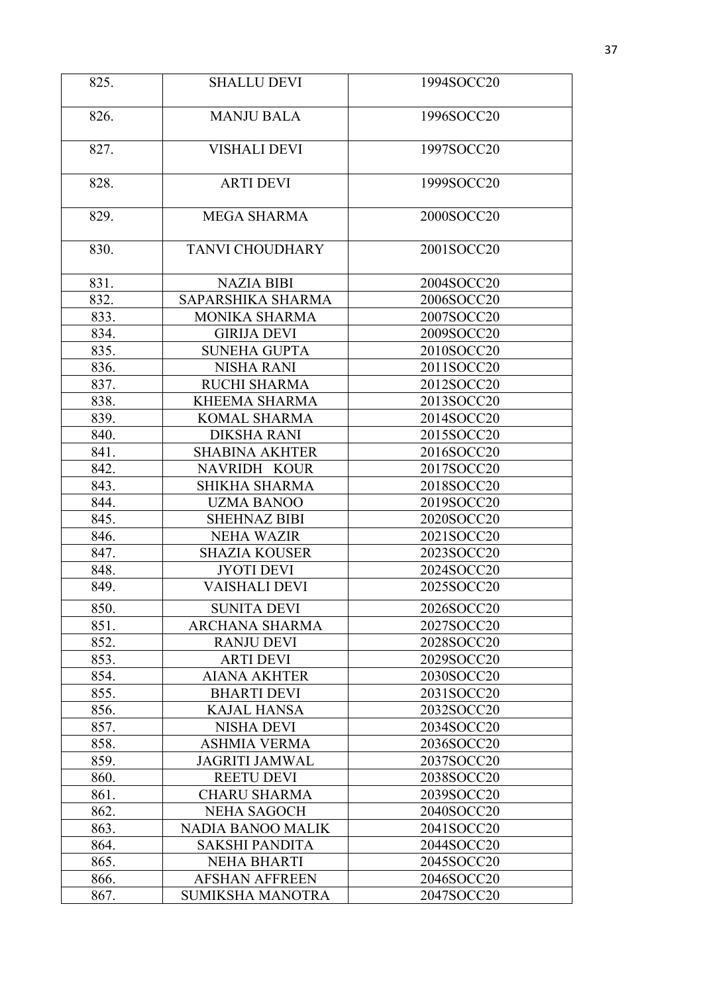| 825. | <b>SHALLU DEVI</b>       | 1994SOCC20 |
|------|--------------------------|------------|
| 826. | <b>MANJU BALA</b>        | 1996SOCC20 |
| 827. | <b>VISHALI DEVI</b>      | 1997SOCC20 |
| 828. | <b>ARTI DEVI</b>         | 1999SOCC20 |
| 829. | <b>MEGA SHARMA</b>       | 2000SOCC20 |
| 830. | <b>TANVI CHOUDHARY</b>   | 2001SOCC20 |
| 831. | <b>NAZIA BIBI</b>        | 2004SOCC20 |
| 832. | SAPARSHIKA SHARMA        | 2006SOCC20 |
| 833. | <b>MONIKA SHARMA</b>     | 2007SOCC20 |
| 834. | <b>GIRIJA DEVI</b>       | 2009SOCC20 |
| 835. | <b>SUNEHA GUPTA</b>      | 2010SOCC20 |
| 836. | <b>NISHA RANI</b>        | 2011SOCC20 |
| 837. | <b>RUCHI SHARMA</b>      | 2012SOCC20 |
| 838. | <b>KHEEMA SHARMA</b>     | 2013SOCC20 |
| 839. | <b>KOMAL SHARMA</b>      | 2014SOCC20 |
| 840. | <b>DIKSHA RANI</b>       | 2015SOCC20 |
| 841. | <b>SHABINA AKHTER</b>    | 2016SOCC20 |
| 842. | NAVRIDH KOUR             | 2017SOCC20 |
| 843. | <b>SHIKHA SHARMA</b>     | 2018SOCC20 |
| 844. | <b>UZMA BANOO</b>        | 2019SOCC20 |
| 845. | <b>SHEHNAZ BIBI</b>      | 2020SOCC20 |
| 846. | <b>NEHA WAZIR</b>        | 2021SOCC20 |
| 847. | <b>SHAZIA KOUSER</b>     | 2023SOCC20 |
| 848. | <b>JYOTI DEVI</b>        | 2024SOCC20 |
| 849. | <b>VAISHALI DEVI</b>     | 2025SOCC20 |
| 850. | <b>SUNITA DEVI</b>       | 2026SOCC20 |
| 851. | <b>ARCHANA SHARMA</b>    | 2027SOCC20 |
| 852. | <b>RANJU DEVI</b>        | 2028SOCC20 |
| 853. | <b>ARTI DEVI</b>         | 2029SOCC20 |
| 854. | <b>AIANA AKHTER</b>      | 2030SOCC20 |
| 855. | <b>BHARTI DEVI</b>       | 2031SOCC20 |
| 856. | <b>KAJAL HANSA</b>       | 2032SOCC20 |
| 857. | NISHA DEVI               | 2034SOCC20 |
| 858. | <b>ASHMIA VERMA</b>      | 2036SOCC20 |
| 859. | <b>JAGRITI JAMWAL</b>    | 2037SOCC20 |
| 860. | <b>REETU DEVI</b>        | 2038SOCC20 |
| 861. | <b>CHARU SHARMA</b>      | 2039SOCC20 |
| 862. | <b>NEHA SAGOCH</b>       | 2040SOCC20 |
| 863. | <b>NADIA BANOO MALIK</b> | 2041SOCC20 |
| 864. | <b>SAKSHI PANDITA</b>    | 2044SOCC20 |
| 865. | <b>NEHA BHARTI</b>       | 2045SOCC20 |
| 866. | <b>AFSHAN AFFREEN</b>    | 2046SOCC20 |
| 867. | <b>SUMIKSHA MANOTRA</b>  | 2047SOCC20 |
|      |                          |            |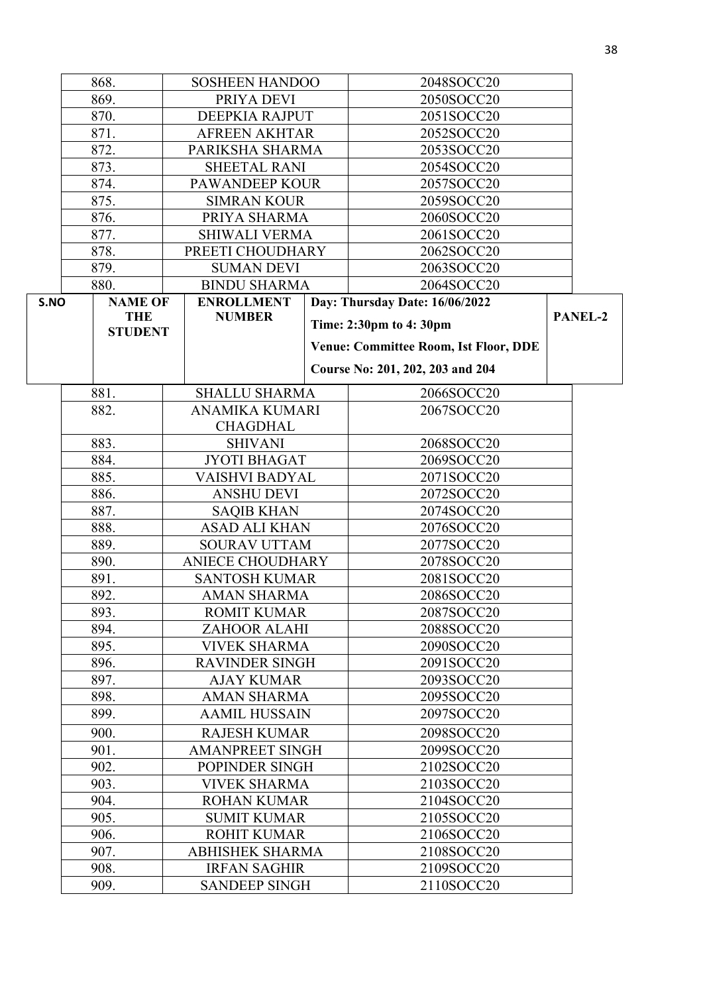|                              | 868.           | <b>SOSHEEN HANDOO</b>   |  | 2048SOCC20                                   |         |
|------------------------------|----------------|-------------------------|--|----------------------------------------------|---------|
|                              | 869.           | PRIYA DEVI              |  | 2050SOCC20                                   |         |
|                              | 870.           | DEEPKIA RAJPUT          |  | 2051SOCC20                                   |         |
|                              | 871.           | <b>AFREEN AKHTAR</b>    |  | 2052SOCC20                                   |         |
|                              | 872.           | PARIKSHA SHARMA         |  | 2053SOCC20                                   |         |
|                              | 873.           | <b>SHEETAL RANI</b>     |  | 2054SOCC20                                   |         |
|                              | 874.           | <b>PAWANDEEP KOUR</b>   |  | 2057SOCC20                                   |         |
|                              | 875.           | <b>SIMRAN KOUR</b>      |  | 2059SOCC20                                   |         |
|                              | 876.           | PRIYA SHARMA            |  | 2060SOCC20                                   |         |
|                              | 877.           | <b>SHIWALI VERMA</b>    |  | 2061SOCC20                                   |         |
|                              | 878.           | PREETI CHOUDHARY        |  | 2062SOCC20                                   |         |
|                              | 879.           | <b>SUMAN DEVI</b>       |  | 2063SOCC20                                   |         |
|                              | 880.           | <b>BINDU SHARMA</b>     |  | 2064SOCC20                                   |         |
| S.NO                         | <b>NAME OF</b> | <b>ENROLLMENT</b>       |  | Day: Thursday Date: 16/06/2022               |         |
|                              | <b>THE</b>     | <b>NUMBER</b>           |  | Time: 2:30pm to 4:30pm                       | PANEL-2 |
|                              | <b>STUDENT</b> |                         |  |                                              |         |
|                              |                |                         |  | <b>Venue: Committee Room, Ist Floor, DDE</b> |         |
|                              |                |                         |  | Course No: 201, 202, 203 and 204             |         |
|                              | 881.           | <b>SHALLU SHARMA</b>    |  | 2066SOCC20                                   |         |
|                              | 882.           | <b>ANAMIKA KUMARI</b>   |  | 2067SOCC20                                   |         |
|                              |                | <b>CHAGDHAL</b>         |  |                                              |         |
|                              | 883.           | <b>SHIVANI</b>          |  | 2068SOCC20                                   |         |
|                              | 884.           | <b>JYOTI BHAGAT</b>     |  | 2069SOCC20                                   |         |
|                              | 885.           | <b>VAISHVI BADYAL</b>   |  | 2071SOCC20                                   |         |
|                              | 886.           | <b>ANSHU DEVI</b>       |  | 2072SOCC20                                   |         |
|                              | 887.           | <b>SAQIB KHAN</b>       |  | 2074SOCC20                                   |         |
|                              | 888.           | <b>ASAD ALI KHAN</b>    |  | 2076SOCC20                                   |         |
|                              | 889.           | <b>SOURAV UTTAM</b>     |  | 2077SOCC20                                   |         |
|                              | 890.           | <b>ANIECE CHOUDHARY</b> |  | 2078SOCC20                                   |         |
|                              | 891.           | <b>SANTOSH KUMAR</b>    |  | 2081SOCC20                                   |         |
|                              | 892.           | <b>AMAN SHARMA</b>      |  | 2086SOCC20                                   |         |
|                              | 893.           | <b>ROMIT KUMAR</b>      |  | 2087SOCC20                                   |         |
|                              | 894.           | ZAHOOR ALAHI            |  | 2088SOCC20                                   |         |
|                              | 895.           | <b>VIVEK SHARMA</b>     |  | 2090SOCC20                                   |         |
|                              | 896.           | <b>RAVINDER SINGH</b>   |  | 2091SOCC20                                   |         |
|                              | 897.           | <b>AJAY KUMAR</b>       |  | 2093SOCC20                                   |         |
|                              | 898.           | <b>AMAN SHARMA</b>      |  | 2095SOCC20                                   |         |
|                              | 899.           | <b>AAMIL HUSSAIN</b>    |  | 2097SOCC20                                   |         |
|                              | 900.           | <b>RAJESH KUMAR</b>     |  | 2098SOCC20                                   |         |
|                              | 901.           | <b>AMANPREET SINGH</b>  |  | 2099SOCC20                                   |         |
|                              | 902.           | POPINDER SINGH          |  | 2102SOCC20                                   |         |
|                              | 903.           | <b>VIVEK SHARMA</b>     |  | 2103SOCC20                                   |         |
|                              | 904.           | <b>ROHAN KUMAR</b>      |  | 2104SOCC20                                   |         |
|                              | 905.           | <b>SUMIT KUMAR</b>      |  | 2105SOCC20                                   |         |
|                              | 906.           | <b>ROHIT KUMAR</b>      |  | 2106SOCC20                                   |         |
|                              | 907.           | <b>ABHISHEK SHARMA</b>  |  | 2108SOCC20                                   |         |
| 908.<br><b>IRFAN SAGHIR</b>  |                | 2109SOCC20              |  |                                              |         |
| 909.<br><b>SANDEEP SINGH</b> |                | 2110SOCC20              |  |                                              |         |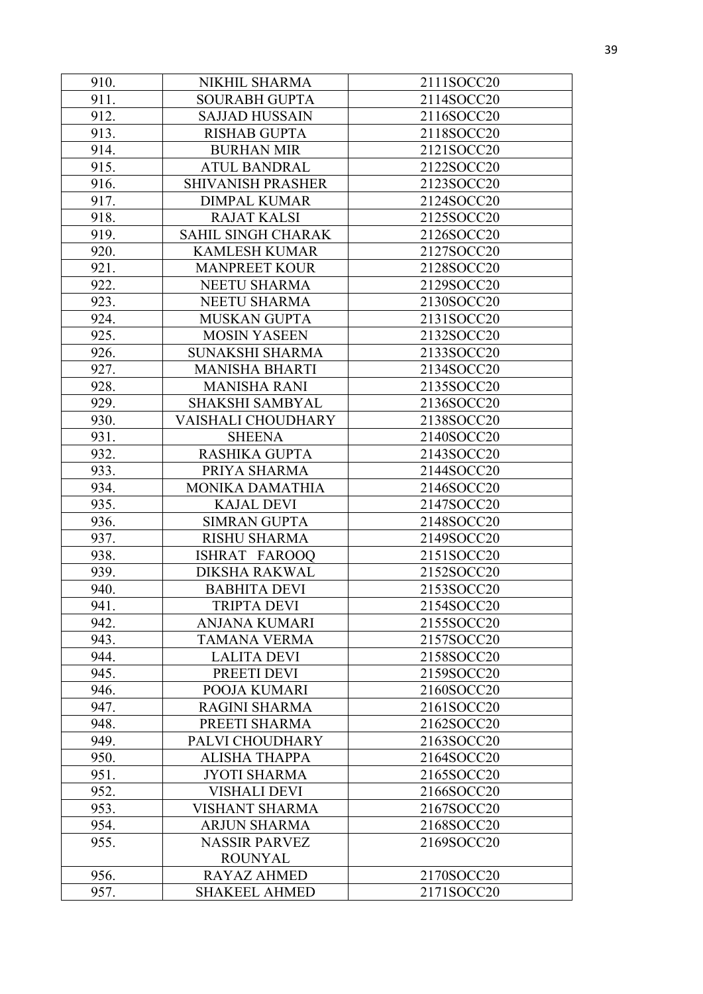| 910. | NIKHIL SHARMA             | 2111SOCC20 |
|------|---------------------------|------------|
| 911. | <b>SOURABH GUPTA</b>      | 2114SOCC20 |
| 912. | <b>SAJJAD HUSSAIN</b>     | 2116SOCC20 |
| 913. | <b>RISHAB GUPTA</b>       | 2118SOCC20 |
| 914. | <b>BURHAN MIR</b>         | 2121SOCC20 |
| 915. | <b>ATUL BANDRAL</b>       | 2122SOCC20 |
| 916. | <b>SHIVANISH PRASHER</b>  | 2123SOCC20 |
| 917. | <b>DIMPAL KUMAR</b>       | 2124SOCC20 |
| 918. | <b>RAJAT KALSI</b>        | 2125SOCC20 |
| 919. | <b>SAHIL SINGH CHARAK</b> | 2126SOCC20 |
| 920. | <b>KAMLESH KUMAR</b>      | 2127SOCC20 |
| 921. | <b>MANPREET KOUR</b>      | 2128SOCC20 |
| 922. | NEETU SHARMA              | 2129SOCC20 |
| 923. | NEETU SHARMA              | 2130SOCC20 |
| 924. | MUSKAN GUPTA              | 2131SOCC20 |
| 925. | <b>MOSIN YASEEN</b>       | 2132SOCC20 |
| 926. | <b>SUNAKSHI SHARMA</b>    | 2133SOCC20 |
| 927. | <b>MANISHA BHARTI</b>     | 2134SOCC20 |
| 928. | <b>MANISHA RANI</b>       | 2135SOCC20 |
| 929. | <b>SHAKSHI SAMBYAL</b>    | 2136SOCC20 |
| 930. | VAISHALI CHOUDHARY        | 2138SOCC20 |
| 931. | <b>SHEENA</b>             | 2140SOCC20 |
| 932. | <b>RASHIKA GUPTA</b>      | 2143SOCC20 |
| 933. | PRIYA SHARMA              | 2144SOCC20 |
| 934. | <b>MONIKA DAMATHIA</b>    | 2146SOCC20 |
| 935. | <b>KAJAL DEVI</b>         | 2147SOCC20 |
| 936. | <b>SIMRAN GUPTA</b>       | 2148SOCC20 |
| 937. | <b>RISHU SHARMA</b>       | 2149SOCC20 |
| 938. | ISHRAT FAROOQ             | 2151SOCC20 |
| 939. | <b>DIKSHA RAKWAL</b>      | 2152SOCC20 |
| 940. | <b>BABHITA DEVI</b>       | 2153SOCC20 |
| 941. | <b>TRIPTA DEVI</b>        | 2154SOCC20 |
| 942. | <b>ANJANA KUMARI</b>      | 2155SOCC20 |
| 943. | <b>TAMANA VERMA</b>       | 2157SOCC20 |
| 944. | <b>LALITA DEVI</b>        | 2158SOCC20 |
| 945. | PREETI DEVI               | 2159SOCC20 |
| 946. | POOJA KUMARI              | 2160SOCC20 |
| 947. | <b>RAGINI SHARMA</b>      | 2161SOCC20 |
| 948. | PREETI SHARMA             | 2162SOCC20 |
| 949. | PALVI CHOUDHARY           | 2163SOCC20 |
| 950. | <b>ALISHA THAPPA</b>      | 2164SOCC20 |
| 951. | <b>JYOTI SHARMA</b>       | 2165SOCC20 |
| 952. | <b>VISHALI DEVI</b>       | 2166SOCC20 |
| 953. | <b>VISHANT SHARMA</b>     | 2167SOCC20 |
| 954. | <b>ARJUN SHARMA</b>       | 2168SOCC20 |
| 955. | <b>NASSIR PARVEZ</b>      | 2169SOCC20 |
|      | <b>ROUNYAL</b>            |            |
| 956. | <b>RAYAZ AHMED</b>        | 2170SOCC20 |
| 957. | <b>SHAKEEL AHMED</b>      | 2171SOCC20 |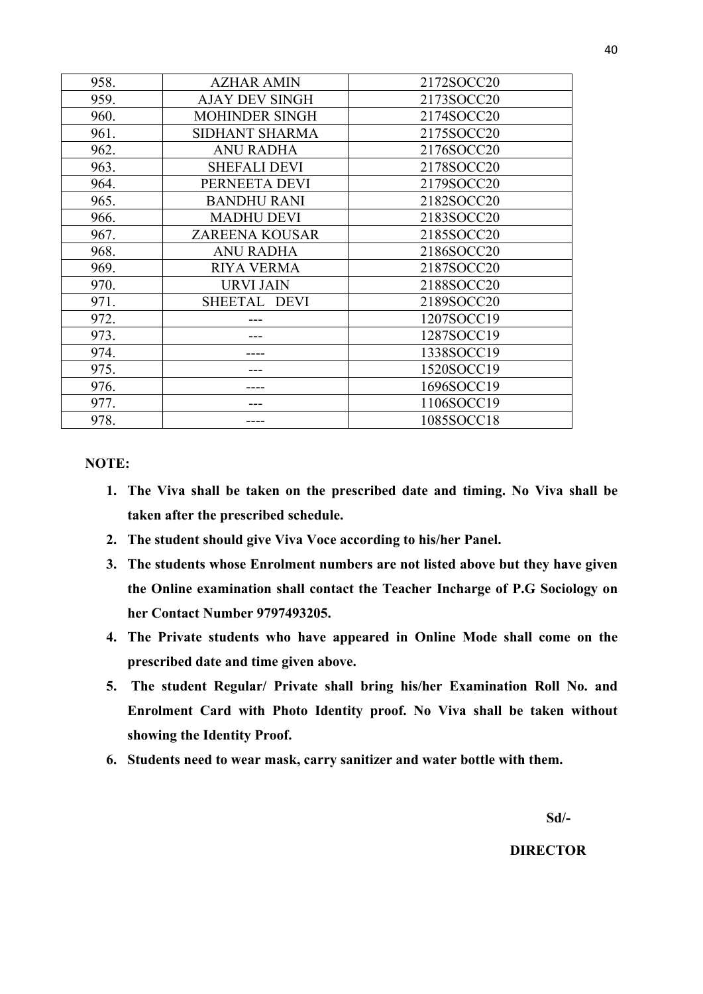| 958. | <b>AZHAR AMIN</b>     | 2172SOCC20 |
|------|-----------------------|------------|
| 959. | <b>AJAY DEV SINGH</b> | 2173SOCC20 |
| 960. | <b>MOHINDER SINGH</b> | 2174SOCC20 |
| 961. | SIDHANT SHARMA        | 2175SOCC20 |
| 962. | <b>ANU RADHA</b>      | 2176SOCC20 |
| 963. | <b>SHEFALI DEVI</b>   | 2178SOCC20 |
| 964. | PERNEETA DEVI         | 2179SOCC20 |
| 965. | <b>BANDHU RANI</b>    | 2182SOCC20 |
| 966. | <b>MADHU DEVI</b>     | 2183SOCC20 |
| 967. | <b>ZAREENA KOUSAR</b> | 2185SOCC20 |
| 968. | <b>ANU RADHA</b>      | 2186SOCC20 |
| 969. | <b>RIYA VERMA</b>     | 2187SOCC20 |
| 970. | <b>URVI JAIN</b>      | 2188SOCC20 |
| 971. | SHEETAL DEVI          | 2189SOCC20 |
| 972. |                       | 1207SOCC19 |
| 973. |                       | 1287SOCC19 |
| 974. |                       | 1338SOCC19 |
| 975. |                       | 1520SOCC19 |
| 976. |                       | 1696SOCC19 |
| 977. |                       | 1106SOCC19 |
| 978. |                       | 1085SOCC18 |

**NOTE:**

- **1. The Viva shall be taken on the prescribed date and timing. No Viva shall be taken after the prescribed schedule.**
- **2. The student should give Viva Voce according to his/her Panel.**
- **3. The students whose Enrolment numbers are not listed above but they have given the Online examination shall contact the Teacher Incharge of P.G Sociology on her Contact Number 9797493205.**
- **4. The Private students who have appeared in Online Mode shall come on the prescribed date and time given above.**
- **5. The student Regular/ Private shall bring his/her Examination Roll No. and Enrolment Card with Photo Identity proof. No Viva shall be taken without showing the Identity Proof.**
- **6. Students need to wear mask, carry sanitizer and water bottle with them.**

 **Sd/-** 

## **DIRECTOR**